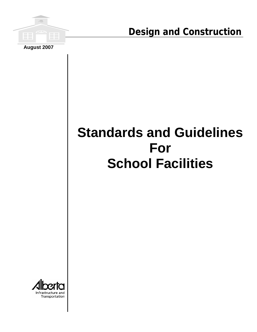

**Design and Construction**

# **Standards and Guidelines For School Facilities**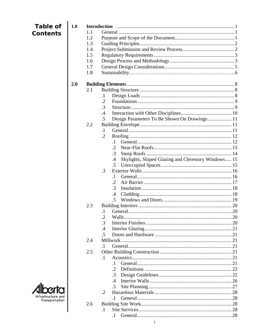| <b>Table of</b>    | 1.0 |     | <b>Introduction</b>                                              |  |
|--------------------|-----|-----|------------------------------------------------------------------|--|
| <b>Contents</b>    |     | 1.1 |                                                                  |  |
|                    |     | 1.2 |                                                                  |  |
|                    |     | 1.3 |                                                                  |  |
|                    |     | 1.4 |                                                                  |  |
|                    |     | 1.5 |                                                                  |  |
|                    |     | 1.6 |                                                                  |  |
|                    |     | 1.7 |                                                                  |  |
|                    |     | 1.8 |                                                                  |  |
|                    | 2.0 |     |                                                                  |  |
|                    |     | 2.1 |                                                                  |  |
|                    |     |     | $\cdot$                                                          |  |
|                    |     |     | .2                                                               |  |
|                    |     |     | $\cdot$ 3                                                        |  |
|                    |     |     | $\mathcal{A}$                                                    |  |
|                    |     |     | Design Parameters To Be Shown On Drawings 11<br>.5               |  |
|                    |     | 2.2 |                                                                  |  |
|                    |     |     | $\cdot$ 1                                                        |  |
|                    |     |     | $\cdot$ 2                                                        |  |
|                    |     |     | $\cdot$ 1                                                        |  |
|                    |     |     | $\cdot$                                                          |  |
|                    |     |     | .3                                                               |  |
|                    |     |     | Skylights, Sloped Glazing and Clerestory Windows 15<br>$\cdot$ 4 |  |
|                    |     |     | $.5\,$                                                           |  |
|                    |     |     | .3                                                               |  |
|                    |     |     | $\cdot$ 1                                                        |  |
|                    |     |     | .2                                                               |  |
|                    |     |     | .3                                                               |  |
|                    |     |     | .4                                                               |  |
|                    |     |     | $\cdot$ .5                                                       |  |
|                    |     | 2.3 |                                                                  |  |
|                    |     |     | $\cdot$ 1                                                        |  |
|                    |     |     | $\cdot$ .2                                                       |  |
|                    |     |     | $\cdot$ 3                                                        |  |
|                    |     |     | $\mathcal{A}$                                                    |  |
|                    |     |     | .5                                                               |  |
|                    |     | 2.4 |                                                                  |  |
|                    |     |     |                                                                  |  |
|                    |     | 2.5 |                                                                  |  |
|                    |     |     | $\cdot$ 1                                                        |  |
|                    |     |     | $\cdot$ 1                                                        |  |
|                    |     |     | $\cdot$ 2                                                        |  |
|                    |     |     | .3                                                               |  |
|                    |     |     | .4                                                               |  |
|                    |     |     | .5                                                               |  |
| Infrastructure and |     |     | $\cdot$ .2                                                       |  |
| Transportation     |     |     | $\cdot$ 1                                                        |  |
|                    |     | 2.6 |                                                                  |  |
|                    |     |     | $\cdot$                                                          |  |
|                    |     |     | $\cdot$ 1                                                        |  |

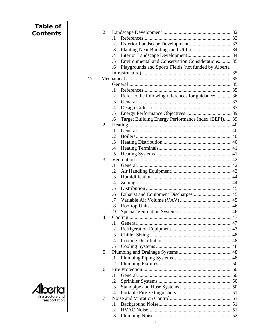| Table of           |     | $\cdot$ .2 |                                                                             |  |
|--------------------|-----|------------|-----------------------------------------------------------------------------|--|
| <b>Contents</b>    |     |            | $\cdot$ 1                                                                   |  |
|                    |     |            | $\cdot$ .2                                                                  |  |
|                    |     |            | Planting Near Buildings and Utilities  34<br>$\cdot$ 3                      |  |
|                    |     |            | $\cdot$                                                                     |  |
|                    |     |            | Environmental and Conservation Considerations 35<br>$.5\,$                  |  |
|                    |     |            |                                                                             |  |
|                    |     |            | Playgrounds and Sports Fields (not funded by Alberta<br>.6                  |  |
|                    |     |            |                                                                             |  |
|                    | 2.7 |            |                                                                             |  |
|                    |     | $\cdot$ 1  |                                                                             |  |
|                    |     |            | $\cdot$ 1                                                                   |  |
|                    |     |            | Refer to the following references for guidance:  36<br>$\cdot$<br>$\cdot$ 3 |  |
|                    |     |            |                                                                             |  |
|                    |     |            | $\cdot$                                                                     |  |
|                    |     |            | .5                                                                          |  |
|                    |     |            | Target Building Energy Performance Index (BEPI) 39<br>.6                    |  |
|                    |     | $\cdot$ .2 |                                                                             |  |
|                    |     |            | $\cdot$ 1                                                                   |  |
|                    |     |            | $\cdot$ .2                                                                  |  |
|                    |     |            | $\cdot$ 3                                                                   |  |
|                    |     |            | .4                                                                          |  |
|                    |     |            | .5                                                                          |  |
|                    |     | $\cdot$ 3  |                                                                             |  |
|                    |     |            | $\cdot$ 1                                                                   |  |
|                    |     |            | .2                                                                          |  |
|                    |     |            | $\cdot$ 3                                                                   |  |
|                    |     |            | $\cdot$                                                                     |  |
|                    |     |            | .5                                                                          |  |
|                    |     |            | Exhaust and Equipment Discharges  45<br>.6                                  |  |
|                    |     |            | .7                                                                          |  |
|                    |     |            | .8                                                                          |  |
|                    |     |            | .9                                                                          |  |
|                    |     | $.4\,$     |                                                                             |  |
|                    |     |            | $\cdot$                                                                     |  |
|                    |     |            | .2                                                                          |  |
|                    |     |            | $\cdot$ 3                                                                   |  |
|                    |     |            | .4                                                                          |  |
|                    |     |            | .5                                                                          |  |
|                    |     | $.5\,$     |                                                                             |  |
|                    |     |            | $\cdot$                                                                     |  |
|                    |     |            | .2                                                                          |  |
|                    |     | .6         |                                                                             |  |
|                    |     |            | $\cdot$ 1                                                                   |  |
|                    |     |            | $\cdot$ .2                                                                  |  |
|                    |     |            | $\cdot$ 3                                                                   |  |
| Infrastructure and |     |            | .4                                                                          |  |
| Transportation     |     | .7         |                                                                             |  |
|                    |     |            | $\cdot$                                                                     |  |
|                    |     |            | $\cdot$ .2                                                                  |  |
|                    |     |            | $\cdot$ 3                                                                   |  |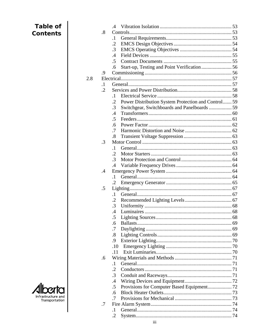| Table of           |            | .4                                                             |  |
|--------------------|------------|----------------------------------------------------------------|--|
| <b>Contents</b>    | .8         |                                                                |  |
|                    |            | $\cdot$                                                        |  |
|                    |            | $\cdot$                                                        |  |
|                    |            | $\cdot$ 3                                                      |  |
|                    |            | $.4\,$                                                         |  |
|                    |            | .5                                                             |  |
|                    |            | .6                                                             |  |
|                    | .9         |                                                                |  |
|                    | 2.8        |                                                                |  |
|                    | $\cdot$ 1  |                                                                |  |
|                    | $\cdot$ .2 |                                                                |  |
|                    |            | $\cdot$ 1                                                      |  |
|                    |            | Power Distribution System Protection and Control 59<br>$\cdot$ |  |
|                    |            | Switchgear, Switchboards and Panelboards  59<br>.3             |  |
|                    |            | .4                                                             |  |
|                    |            | .5                                                             |  |
|                    |            | .6                                                             |  |
|                    |            | .7                                                             |  |
|                    |            | .8                                                             |  |
|                    | $\cdot$ 3  |                                                                |  |
|                    |            | $\cdot$ 1                                                      |  |
|                    |            | $\cdot$ .2                                                     |  |
|                    |            | $\cdot$ 3                                                      |  |
|                    |            | .4                                                             |  |
|                    | $\cdot$    |                                                                |  |
|                    |            | $\cdot$ 1                                                      |  |
|                    |            | $\cdot$                                                        |  |
|                    | $.5\,$     |                                                                |  |
|                    |            | $\cdot$ 1                                                      |  |
|                    |            |                                                                |  |
|                    |            | 3                                                              |  |
|                    |            | .4                                                             |  |
|                    |            | .5                                                             |  |
|                    |            | .6                                                             |  |
|                    |            | .7                                                             |  |
|                    |            | $\boldsymbol{.8}$                                              |  |
|                    |            | .9                                                             |  |
|                    |            | .10                                                            |  |
|                    |            | .11                                                            |  |
|                    | .6         |                                                                |  |
|                    |            | $\cdot$ 1                                                      |  |
|                    |            | .2                                                             |  |
|                    |            | .3                                                             |  |
|                    |            | $\cdot$                                                        |  |
|                    |            | .5                                                             |  |
| Infrastructure and |            | .6                                                             |  |
| Transportation     |            | .7                                                             |  |
|                    | .7         |                                                                |  |
|                    |            | $\cdot$ 1                                                      |  |
|                    |            | $\cdot$ .2                                                     |  |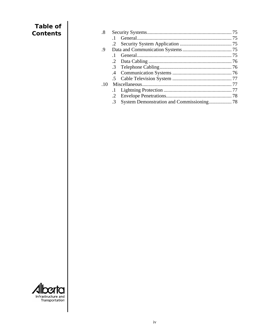| <b>Table of</b><br><b>Contents</b>   | $\boldsymbol{.8}$<br>.9<br>$.10\,$ | $\cdot$ 1<br>$\cdot$ .2<br>$\cdot$ 1<br>$\cdot$ .2<br>.3<br>$\cdot$<br>$.5\,$<br>$\cdot$<br>$\cdot$ .2<br>.3<br>System Demonstration and Commissioning 78 |
|--------------------------------------|------------------------------------|-----------------------------------------------------------------------------------------------------------------------------------------------------------|
|                                      |                                    |                                                                                                                                                           |
| Infrastructure and<br>Transportation |                                    |                                                                                                                                                           |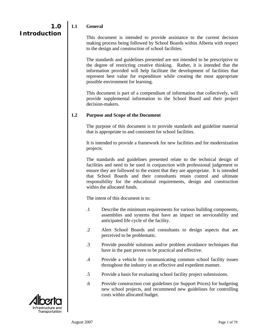#### <span id="page-5-0"></span>**1.1 General**

 This document is intended to provide assistance to the current decision making process being followed by School Boards within Alberta with respect to the design and construction of school facilities.

 The standards and guidelines presented are not intended to be prescriptive to the degree of restricting creative thinking. Rather, it is intended that the information provided will help facilitate the development of facilities that represent best value for expenditure while creating the most appropriate possible environment for learning.

 This document is part of a compendium of information that collectively, will provide supplemental information to the School Board and their project decision-makers.

#### **1.2 Purpose and Scope of the Document**

 The purpose of this document is to provide standards and guideline material that is appropriate to and consistent for school facilities.

 It is intended to provide a framework for new facilities and for modernization projects.

 The standards and guidelines presented relate to the technical design of facilities and need to be used in conjunction with professional judgement to ensure they are followed to the extent that they are appropriate. It is intended that School Boards and their consultants retain control and ultimate responsibility for the educational requirements, design and construction within the allocated funds.

The intent of this document is to:

- .1 Describe the minimum requirements for various building components, assemblies and systems that have an impact on serviceability and anticipated life cycle of the facility.
- .2 Alert School Boards and consultants to design aspects that are perceived to be problematic.
- .3 Provide possible solutions and/or problem avoidance techniques that have in the past proven to be practical and effective.
- .4 Provide a vehicle for communicating common school facility issues throughout the industry in an effective and expedient manner.
- .5 Provide a basis for evaluating school facility project submissions.
- .6 Provide construction cost guidelines (or Support Prices) for budgeting new school projects, and recommend new guidelines for controlling costs within allocated budget.

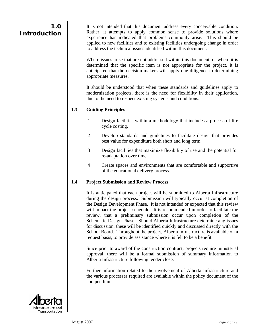<span id="page-6-0"></span>It is not intended that this document address every conceivable condition. Rather, it attempts to apply common sense to provide solutions where experience has indicated that problems commonly arise. This should be applied to new facilities and to existing facilities undergoing change in order to address the technical issues identified within this document.

 Where issues arise that are not addressed within this document, or where it is determined that the specific item is not appropriate for the project, it is anticipated that the decision-makers will apply due diligence in determining appropriate measures.

 It should be understood that when these standards and guidelines apply to modernization projects, there is the need for flexibility in their application, due to the need to respect existing systems and conditions.

#### **1.3 Guiding Principles**

- .1 Design facilities within a methodology that includes a process of life cycle costing.
- .2 Develop standards and guidelines to facilitate design that provides best value for expenditure both short and long term.
- .3 Design facilities that maximize flexibility of use and the potential for re-adaptation over time.
- .4 Create spaces and environments that are comfortable and supportive of the educational delivery process.

#### **1.4 Project Submission and Review Process**

 It is anticipated that each project will be submitted to Alberta Infrastructure during the design process. Submission will typically occur at completion of the Design Development Phase. It is not intended or expected that this review will impact the project schedule. It is recommended in order to facilitate the review, that a preliminary submission occur upon completion of the Schematic Design Phase. Should Alberta Infrastructure determine any issues for discussion, these will be identified quickly and discussed directly with the School Board. Throughout the project, Alberta Infrastructure is available on a request basis, to provide assistance where it is felt to be a benefit.

 Since prior to award of the construction contract, projects require ministerial approval, there will be a formal submission of summary information to Alberta Infrastructure following tender close.

 Further information related to the involvement of Alberta Infrastructure and the various processes required are available within the policy document of the compendium.

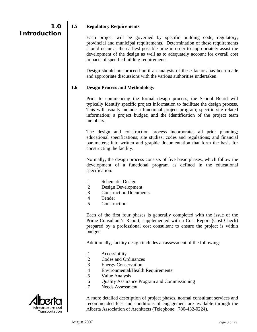#### <span id="page-7-0"></span>**1.5 Regulatory Requirements**

 Each project will be governed by specific building code, regulatory, provincial and municipal requirements. Determination of these requirements should occur at the earliest possible time in order to appropriately assist the development of the design as well as to adequately account for overall cost impacts of specific building requirements.

 Design should not proceed until an analysis of these factors has been made and appropriate discussions with the various authorities undertaken.

#### **1.6 Design Process and Methodology**

 Prior to commencing the formal design process, the School Board will typically identify specific project information to facilitate the design process. This will usually include a functional project program; specific site related information; a project budget; and the identification of the project team members.

 The design and construction process incorporates all prior planning; educational specifications; site studies; codes and regulations; and financial parameters; into written and graphic documentation that form the basis for constructing the facility.

 Normally, the design process consists of five basic phases, which follow the development of a functional program as defined in the educational specification.

- .1 Schematic Design
- .2 Design Development
- .3 Construction Documents
- .4 Tender
- .5 Construction

 Each of the first four phases is generally completed with the issue of the Prime Consultant's Report, supplemented with a Cost Report (Cost Check) prepared by a professional cost consultant to ensure the project is within budget.

Additionally, facility design includes an assessment of the following:

- .1 Accessibility
- .2 Codes and Ordinances
- .3 Energy Conservation
- .4 Environmental/Health Requirements
- .5 Value Analysis
- .6 Quality Assurance Program and Commissioning
- .7 Needs Assessment



 A more detailed description of project phases, normal consultant services and recommended fees and conditions of engagement are available through the Alberta Association of Architects (Telephone: 780-432-0224).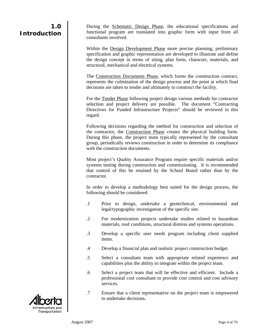During the Schematic Design Phase, the educational specifications and functional program are translated into graphic form with input from all consultants involved.

Within the Design Development Phase more precise planning, preliminary specification and graphic representation are developed to illustrate and define the design concept in terms of siting, plan form, character, materials, and structural, mechanical and electrical systems.

 The Construction Documents Phase, which forms the construction contract, represents the culmination of the design process and the point at which final decisions are taken to tender and ultimately to construct the facility.

For the Tender Phase following project design various methods for contractor selection and project delivery are possible. The document "Contracting Directives for Funded Infrastructure Projects" should be reviewed in this regard.

 Following decisions regarding the method for construction and selection of the contractor, the Construction Phase creates the physical building form. During this phase, the project team typically represented by the consultant group, periodically reviews construction in order to determine its compliance with the construction documents.

 Most project's Quality Assurance Program require specific materials and/or systems testing during construction and commissioning. It is recommended that control of this be retained by the School Board rather than by the contractor.

 In order to develop a methodology best suited for the design process, the following should be considered:

- .1 Prior to design, undertake a geotechnical, environmental and legal/typographic investigation of the specific site.
- .2 For modernization projects undertake studies related to hazardous materials, roof conditions, structural distress and systems operations.
- .3 Develop a specific user needs program including client supplied items.
- .4 Develop a financial plan and realistic project construction budget.
- .5 Select a consultant team with appropriate related experience and capabilities plus the ability to integrate within the project team.
- .6 Select a project team that will be effective and efficient. Include a professional cost consultant to provide cost control and cost advisory services.
- .7 Ensure that a client representative on the project team is empowered to undertake decisions.

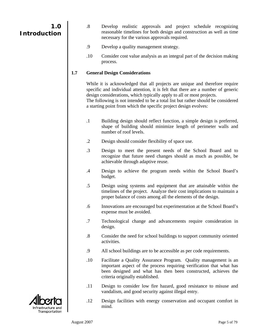- <span id="page-9-0"></span> .8 Develop realistic approvals and project schedule recognizing reasonable timelines for both design and construction as well as time necessary for the various approvals required.
- .9 Develop a quality management strategy.
- .10 Consider cost value analysis as an integral part of the decision making process.

#### **1.7 General Design Considerations**

 While it is acknowledged that all projects are unique and therefore require specific and individual attention, it is felt that there are a number of generic design considerations, which typically apply to all or most projects.

The following is not intended to be a total list but rather should be considered a starting point from which the specific project design evolves:

- .1 Building design should reflect function, a simple design is preferred, shape of building should minimize length of perimeter walls and number of roof levels.
- .2 Design should consider flexibility of space use.
- .3 Design to meet the present needs of the School Board and to recognize that future need changes should as much as possible, be achievable through adaptive reuse.
- .4 Design to achieve the program needs within the School Board's budget.
- .5 Design using systems and equipment that are attainable within the timelines of the project. Analyze their cost implications to maintain a proper balance of costs among all the elements of the design.
- .6 Innovations are encouraged but experimentation at the School Board's expense must be avoided.
- .7 Technological change and advancements require consideration in design.
- .8 Consider the need for school buildings to support community oriented activities.
- .9 All school buildings are to be accessible as per code requirements.
- .10 Facilitate a Quality Assurance Program. Quality management is an important aspect of the process requiring verification that what has been designed and what has then been constructed, achieves the criteria originally established.
- .11 Design to consider low fire hazard, good resistance to misuse and vandalism, and good security against illegal entry.
- .12 Design facilities with energy conservation and occupant comfort in mind.

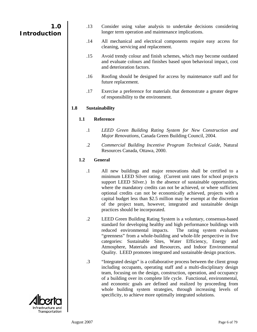- .13 Consider using value analysis to undertake decisions considering longer term operation and maintenance implications.
- .14 All mechanical and electrical components require easy access for cleaning, servicing and replacement.
- .15 Avoid trendy colour and finish schemes, which may become outdated and evaluate colours and finishes based upon behavioral impact, cost and deterioration factors.
- .16 Roofing should be designed for access by maintenance staff and for future replacement.
- .17 Exercise a preference for materials that demonstrate a greater degree of responsibility to the environment.

#### **1.8 Sustainability**

#### **1.1 Reference**

- .1 *LEED Green Building Rating System for New Construction and Major Renovations*, Canada Green Building Council, 2004.
- .2 *Commercial Building Incentive Program Technical Guide*, Natural Resources Canada, Ottawa, 2000.

#### **1.2 General**

- .1 All new buildings and major renovations shall be certified to a minimum LEED Silver rating. (Current unit rates for school projects support LEED Silver.) In the absence of sustainable opportunities, where the mandatory credits can not be achieved, or where sufficient optional credits can not be economically achieved, projects with a capital budget less than \$2.5 million may be exempt at the discretion of the project team, however, integrated and sustainable design practices should be incorporated.
- .2 LEED Green Building Rating System is a voluntary, consensus-based standard for developing healthy and high performance buildings with reduced environmental impacts. The rating system evaluates "greenness" from a whole-building and whole-life perspective in five categories: Sustainable Sites, Water Efficiency, Energy and Atmosphere, Materials and Resources, and Indoor Environmental Quality. LEED promotes integrated and sustainable design practices.
- .3 "Integrated design" is a collaborative process between the client group including occupants, operating staff and a multi-disciplinary design team, focusing on the design, construction, operation, and occupancy of a building over its complete life cycle. Functional, environmental, and economic goals are defined and realized by proceeding from whole building system strategies, through increasing levels of specificity, to achieve more optimally integrated solutions.

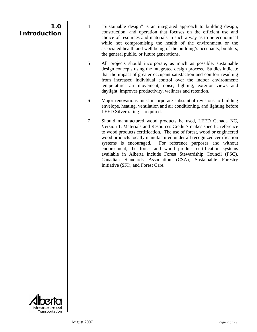- .4 "Sustainable design" is an integrated approach to building design, construction, and operation that focuses on the efficient use and choice of resources and materials in such a way as to be economical while not compromising the health of the environment or the associated health and well being of the building's occupants, builders, the general public, or future generations.
- .5 All projects should incorporate, as much as possible, sustainable design concepts using the integrated design process. Studies indicate that the impact of greater occupant satisfaction and comfort resulting from increased individual control over the indoor environment: temperature, air movement, noise, lighting, exterior views and daylight, improves productivity, wellness and retention.
- .6 Major renovations must incorporate substantial revisions to building envelope, heating, ventilation and air conditioning, and lighting before LEED Silver rating is required.
- .7 Should manufactured wood products be used, LEED Canada NC, Version 1, Materials and Resources Credit 7 makes specific reference to wood products certification. The use of forest, wood or engineered wood products locally manufactured under all recognized certification systems is encouraged. For reference purposes and without endorsement, the forest and wood product certification systems available in Alberta include Forest Stewardship Council (FSC), Canadian Standards Association (CSA), Sustainable Forestry Initiative (SFI), and Forest Care.

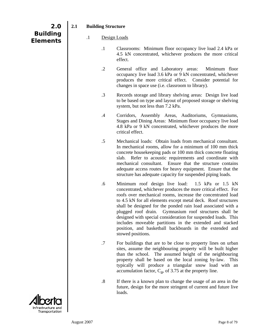$\overline{\phantom{a}}$ 

Infrastructure and<br>Transportation

| $\cdot$ 1         | Classrooms: Minimum floor occupancy live load 2.4 kPa or<br>4.5 kN concentrated, whichever produces the more critical<br>effect.                                                                                                                                                                                                                                                                                                                                                                                                                                                          |
|-------------------|-------------------------------------------------------------------------------------------------------------------------------------------------------------------------------------------------------------------------------------------------------------------------------------------------------------------------------------------------------------------------------------------------------------------------------------------------------------------------------------------------------------------------------------------------------------------------------------------|
| $\cdot$ .2        | General office and Laboratory areas:<br>Minimum floor<br>occupancy live load 3.6 kPa or 9 kN concentrated, whichever<br>produces the more critical effect. Consider potential for<br>changes in space use (i.e. classroom to library).                                                                                                                                                                                                                                                                                                                                                    |
| $\cdot$ 3         | Records storage and library shelving areas: Design live load<br>to be based on type and layout of proposed storage or shelving<br>system, but not less than 7.2 kPa.                                                                                                                                                                                                                                                                                                                                                                                                                      |
| $\cdot$ 4         | Corridors, Assembly Areas, Auditoriums, Gymnasiums,<br>Stages and Dining Areas: Minimum floor occupancy live load<br>4.8 kPa or 9 kN concentrated, whichever produces the more<br>critical effect.                                                                                                                                                                                                                                                                                                                                                                                        |
| $.5\,$            | Mechanical loads: Obtain loads from mechanical consultant.<br>In mechanical rooms, allow for a minimum of 100 mm thick<br>concrete housekeeping pads or 100 mm thick concrete floating<br>slab. Refer to acoustic requirements and coordinate with<br>mechanical consultant. Ensure that the structure contains<br>adequate access routes for heavy equipment. Ensure that the<br>structure has adequate capacity for suspended piping loads.                                                                                                                                             |
| .6                | Minimum roof design live load: 1.5 kPa or 1.5 kN<br>concentrated, whichever produces the more critical effect. For<br>roofs over mechanical rooms, increase the concentrated load<br>to 4.5 kN for all elements except metal deck. Roof structures<br>shall be designed for the ponded rain load associated with a<br>plugged roof drain. Gymnasium roof structures shall be<br>designed with special consideration for suspended loads. This<br>includes moveable partitions in the extended and stacked<br>position, and basketball backboards in the extended and<br>stowed positions. |
| .7                | For buildings that are to be close to property lines on urban<br>sites, assume the neighbouring property will be built higher<br>than the school. The assumed height of the neighbouring<br>property shall be based on the local zoning by-law. This<br>typically will produce a triangular snow load with an<br>accumulation factor, $C_a$ , of 3.75 at the property line.                                                                                                                                                                                                               |
| $\boldsymbol{.8}$ | If there is a known plan to change the usage of an area in the<br>future, design for the more stringent of current and future live<br>loads.                                                                                                                                                                                                                                                                                                                                                                                                                                              |
|                   |                                                                                                                                                                                                                                                                                                                                                                                                                                                                                                                                                                                           |

## **2.1 Building Structure**

**2.0** 

<span id="page-12-0"></span>**Building Elements** 

## .1 Design Loads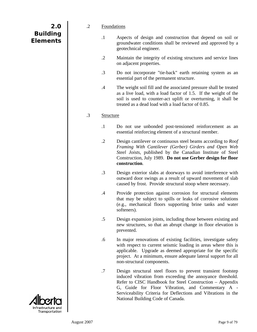<span id="page-13-0"></span>

| 2.0             |  |
|-----------------|--|
| <b>Building</b> |  |
| <b>Elements</b> |  |

#### .2 Foundations

- .1 Aspects of design and construction that depend on soil or groundwater conditions shall be reviewed and approved by a geotechnical engineer.
- .2 Maintain the integrity of existing structures and service lines on adjacent properties.
- .3 Do not incorporate "tie-back" earth retaining system as an essential part of the permanent structure.
- .4 The weight soil fill and the associated pressure shall be treated as a live load, with a load factor of 1.5. If the weight of the soil is used to counter-act uplift or overturning, it shall be treated as a dead load with a load factor of 0.85.

#### .3 Structure

- .1 Do not use unbonded post-tensioned reinforcement as an essential reinforcing element of a structural member.
- .2 Design cantilever or continuous steel beams according to *Roof Framing With Cantilever (Gerber) Girders and Open Web Steel Joists*, published by the Canadian Institute of Steel Construction, July 1989. **Do not use Gerber design for floor construction**.
- .3 Design exterior slabs at doorways to avoid interference with outward door swings as a result of upward movement of slab caused by frost. Provide structural stoop where necessary.
- .4 Provide protection against corrosion for structural elements that may be subject to spills or leaks of corrosive solutions (e.g., mechanical floors supporting brine tanks and water softeners).
- .5 Design expansion joints, including those between existing and new structures, so that an abrupt change in floor elevation is prevented.
- .6 In major renovations of existing facilities, investigate safety with respect to current seismic loading in areas where this is applicable. Upgrade as deemed appropriate for the specific project. At a minimum, ensure adequate lateral support for all non-structural components.
- .7 Design structural steel floors to prevent transient footstep induced vibration from exceeding the annoyance threshold. Refer to CISC Handbook for Steel Construction – Appendix G, Guide for Floor Vibration, and Commentary A - Serviceability Criteria for Deflections and Vibrations in the National Building Code of Canada.

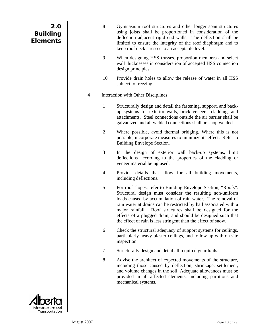<span id="page-14-0"></span>

| 2.0             |  |
|-----------------|--|
| <b>Building</b> |  |
| <b>Elements</b> |  |

|    | $\boldsymbol{.8}$ | Gymnasium roof structures and other longer span structures<br>using joists shall be proportioned in consideration of the<br>deflection adjacent rigid end walls. The deflection shall be<br>limited to ensure the integrity of the roof diaphragm and to<br>keep roof deck stresses to an acceptable level.                                                                                                                                                |
|----|-------------------|------------------------------------------------------------------------------------------------------------------------------------------------------------------------------------------------------------------------------------------------------------------------------------------------------------------------------------------------------------------------------------------------------------------------------------------------------------|
|    | .9                | When designing HSS trusses, proportion members and select<br>wall thicknesses in consideration of accepted HSS connection<br>design principles.                                                                                                                                                                                                                                                                                                            |
|    | .10               | Provide drain holes to allow the release of water in all HSS<br>subject to freezing.                                                                                                                                                                                                                                                                                                                                                                       |
| .4 |                   | <b>Interaction with Other Disciplines</b>                                                                                                                                                                                                                                                                                                                                                                                                                  |
|    | $\cdot$ 1         | Structurally design and detail the fastening, support, and back-<br>up systems for exterior walls, brick veneers, cladding, and<br>attachments. Steel connections outside the air barrier shall be<br>galvanized and all welded connections shall be shop welded.                                                                                                                                                                                          |
|    | $\cdot$ .2        | Where possible, avoid thermal bridging. Where this is not<br>possible, incorporate measures to minimize its effect. Refer to<br>Building Envelope Section.                                                                                                                                                                                                                                                                                                 |
|    | $\cdot$ 3         | In the design of exterior wall back-up systems, limit<br>deflections according to the properties of the cladding or<br>veneer material being used.                                                                                                                                                                                                                                                                                                         |
|    | .4                | Provide details that allow for all building movements,<br>including deflections.                                                                                                                                                                                                                                                                                                                                                                           |
|    | $.5\,$            | For roof slopes, refer to Building Envelope Section, "Roofs".<br>Structural design must consider the resulting non-uniform<br>loads caused by accumulation of rain water. The removal of<br>rain water at drains can be restricted by hail associated with a<br>major rainfall. Roof structures shall be designed for the<br>effects of a plugged drain, and should be designed such that<br>the effect of rain is less stringent than the effect of snow. |
|    | .6                | Check the structural adequacy of support systems for ceilings,<br>particularly heavy plaster ceilings, and follow up with on-site<br>inspection.                                                                                                                                                                                                                                                                                                           |
|    | .7                | Structurally design and detail all required guardrails.                                                                                                                                                                                                                                                                                                                                                                                                    |
|    | $\boldsymbol{.8}$ | Advise the architect of expected movements of the structure,<br>including those caused by deflection, shrinkage, settlement,<br>and volume changes in the soil. Adequate allowances must be<br>provided in all affected elements, including partitions and<br>mechanical systems.                                                                                                                                                                          |
|    |                   |                                                                                                                                                                                                                                                                                                                                                                                                                                                            |



I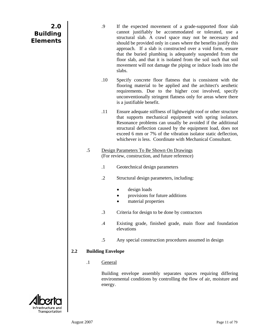<span id="page-15-0"></span>

| 2.0<br><b>Building</b><br><b>Elements</b> |     |         | .9                       | If the expected movement of a grade-supported floor slab<br>cannot justifiably be accommodated or tolerated, use a<br>structural slab. A crawl space may not be necessary and<br>should be provided only in cases where the benefits justify this<br>approach. If a slab is constructed over a void form, ensure<br>that the buried plumbing is adequately suspended from the<br>floor slab, and that it is isolated from the soil such that soil<br>movement will not damage the piping or induce loads into the<br>slabs. |
|-------------------------------------------|-----|---------|--------------------------|-----------------------------------------------------------------------------------------------------------------------------------------------------------------------------------------------------------------------------------------------------------------------------------------------------------------------------------------------------------------------------------------------------------------------------------------------------------------------------------------------------------------------------|
|                                           |     |         | .10                      | Specify concrete floor flatness that is consistent with the<br>flooring material to be applied and the architect's aesthetic<br>requirements. Due to the higher cost involved, specify<br>unconventionally stringent flatness only for areas where there<br>is a justifiable benefit.                                                                                                                                                                                                                                       |
|                                           |     |         | .11                      | Ensure adequate stiffness of lightweight roof or other structure<br>that supports mechanical equipment with spring isolators.<br>Resonance problems can usually be avoided if the additional<br>structural deflection caused by the equipment load, does not<br>exceed 6 mm or 7% of the vibration isolator static deflection,<br>whichever is less. Coordinate with Mechanical Consultant.                                                                                                                                 |
|                                           |     | $.5\,$  |                          | Design Parameters To Be Shown On Drawings<br>(For review, construction, and future reference)                                                                                                                                                                                                                                                                                                                                                                                                                               |
|                                           |     |         | $\cdot$ 1                | Geotechnical design parameters                                                                                                                                                                                                                                                                                                                                                                                                                                                                                              |
|                                           |     |         | $\cdot$ .2               | Structural design parameters, including:                                                                                                                                                                                                                                                                                                                                                                                                                                                                                    |
|                                           |     |         |                          | design loads<br>provisions for future additions<br>material properties                                                                                                                                                                                                                                                                                                                                                                                                                                                      |
|                                           |     |         | $\cdot$ 3                | Criteria for design to be done by contractors                                                                                                                                                                                                                                                                                                                                                                                                                                                                               |
|                                           |     |         | $\cdot$                  | Existing grade, finished grade, main floor and foundation<br>elevations                                                                                                                                                                                                                                                                                                                                                                                                                                                     |
|                                           |     |         | $.5\,$                   | Any special construction procedures assumed in design                                                                                                                                                                                                                                                                                                                                                                                                                                                                       |
|                                           | 2.2 |         | <b>Building Envelope</b> |                                                                                                                                                                                                                                                                                                                                                                                                                                                                                                                             |
|                                           |     | $\cdot$ | General                  |                                                                                                                                                                                                                                                                                                                                                                                                                                                                                                                             |
|                                           |     |         | energy.                  | Building envelope assembly separates spaces requiring differing<br>environmental conditions by controlling the flow of air, moisture and                                                                                                                                                                                                                                                                                                                                                                                    |
| Intrastructure and<br>Transportation      |     |         |                          |                                                                                                                                                                                                                                                                                                                                                                                                                                                                                                                             |

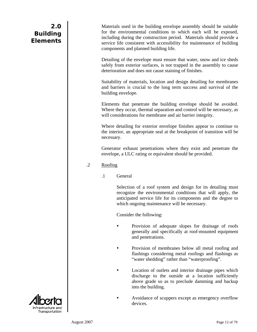<span id="page-16-0"></span> Materials used in the building envelope assembly should be suitable for the environmental conditions to which each will be exposed, including during the construction period. Materials should provide a service life consistent with accessibility for maintenance of building components and planned building life.

 Detailing of the envelope must ensure that water, snow and ice sheds safely from exterior surfaces, is not trapped in the assembly to cause deterioration and does not cause staining of finishes.

 Suitability of materials, location and design detailing for membranes and barriers is crucial to the long term success and survival of the building envelope.

 Elements that penetrate the building envelope should be avoided. Where they occur, thermal separation and control will be necessary, as will considerations for membrane and air barrier integrity.

 Where detailing for exterior envelope finishes appear to continue to the interior, an appropriate seal at the breakpoint of transition will be necessary.

 Generator exhaust penetrations where they exist and penetrate the envelope, a ULC rating or equivalent should be provided.

## .2 Roofing

.1 General

 Selection of a roof system and design for its detailing must recognize the environmental conditions that will apply, the anticipated service life for its components and the degree to which ongoing maintenance will be necessary.

Consider the following:

- Provision of adequate slopes for drainage of roofs generally and specifically at roof-mounted equipment and penetrations.
- Provision of membranes below all metal roofing and flashings considering metal roofings and flashings as "water shedding" rather than "waterproofing".
	- Location of outlets and interior drainage pipes which discharge to the outside at a location sufficiently above grade so as to preclude damming and backup into the building.
	- Avoidance of scuppers except as emergency overflow devices.

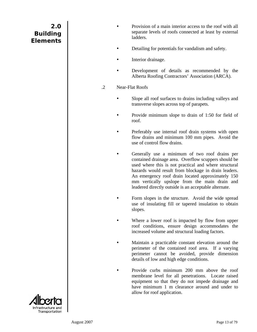- <span id="page-17-0"></span>Provision of a main interior access to the roof with all separate levels of roofs connected at least by external ladders.
- Detailing for potentials for vandalism and safety.
- Interior drainage.
- Development of details as recommended by the Alberta Roofing Contractors' Association (ARCA).
- .2 Near-Flat Roofs
	- Slope all roof surfaces to drains including valleys and transverse slopes across top of parapets.
	- Provide minimum slope to drain of 1:50 for field of roof.
	- Preferably use internal roof drain systems with open flow drains and minimum 100 mm pipes. Avoid the use of control flow drains.
		- Generally use a minimum of two roof drains per contained drainage area. Overflow scuppers should be used where this is not practical and where structural hazards would result from blockage in drain leaders. An emergency roof drain located approximately 150 mm vertically upslope from the main drain and leadered directly outside is an acceptable alternate.
	- Form slopes in the structure. Avoid the wide spread use of insulating fill or tapered insulation to obtain slopes.
	- Where a lower roof is impacted by flow from upper roof conditions, ensure design accommodates the increased volume and structural loading factors.
		- Maintain a practicable constant elevation around the perimeter of the contained roof area. If a varying perimeter cannot be avoided, provide dimension details of low and high edge conditions.
		- Provide curbs minimum 200 mm above the roof membrane level for all penetrations. Locate raised equipment so that they do not impede drainage and have minimum 1 m clearance around and under to allow for roof application.

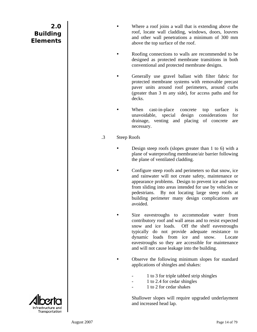- <span id="page-18-0"></span>Where a roof joins a wall that is extending above the roof, locate wall cladding, windows, doors, louvres and other wall penetrations a minimum of 300 mm above the top surface of the roof.
- Roofing connections to walls are recommended to be designed as protected membrane transitions in both conventional and protected membrane designs.
- Generally use gravel ballast with filter fabric for protected membrane systems with removable precast paver units around roof perimeters, around curbs (greater than 3 m any side), for access paths and for decks.
- When cast-in-place concrete top surface is unavoidable, special design considerations for drainage, venting and placing of concrete are necessary.
- .3 Steep Roofs
	- Design steep roofs (slopes greater than 1 to 6) with a plane of waterproofing membrane/air barrier following the plane of ventilated cladding.
		- Configure steep roofs and perimeters so that snow, ice and rainwater will not create safety, maintenance or appearance problems. Design to prevent ice and snow from sliding into areas intended for use by vehicles or pedestrians. By not locating large steep roofs at building perimeter many design complications are avoided.
		- Size eavestroughs to accommodate water from contributory roof and wall areas and to resist expected snow and ice loads. Off the shelf eavestroughs typically do not provide adequate resistance to dynamic loads from ice and snow. Locate eavestroughs so they are accessible for maintenance and will not cause leakage into the building.
			- Observe the following minimum slopes for standard applications of shingles and shakes:
				- 1 to 3 for triple tabbed strip shingles
				- 1 to 2.4 for cedar shingles
				- 1 to 2 for cedar shakes

 Shallower slopes will require upgraded underlayment and increased head lap.

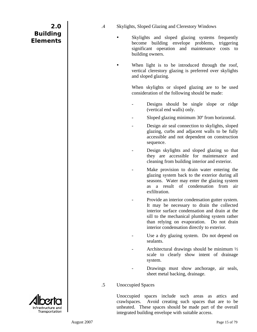- <span id="page-19-0"></span>.4 Skylights, Sloped Glazing and Clerestory Windows
	- Skylights and sloped glazing systems frequently become building envelope problems, triggering significant operation and maintenance costs to building owners.
		- When light is to be introduced through the roof, vertical clerestory glazing is preferred over skylights and sloped glazing.

 When skylights or sloped glazing are to be used consideration of the following should be made:

- Designs should be single slope or ridge (vertical end walls) only.
- Sloped glazing minimum 30<sup>°</sup> from horizontal.
- Design air seal connection to skylights, sloped glazing, curbs and adjacent walls to be fully accessible and not dependent on construction sequence.
- Design skylights and sloped glazing so that they are accessible for maintenance and cleaning from building interior and exterior.
- Make provision to drain water entering the glazing system back to the exterior during all seasons. Water may enter the glazing system as a result of condensation from air exfiltration.
- Provide an interior condensation gutter system. It may be necessary to drain the collected interior surface condensation and drain at the sill to the mechanical plumbing system rather than relying on evaporation. Do not drain interior condensation directly to exterior.
- Use a dry glazing system. Do not depend on sealants.
- Architectural drawings should be minimum  $\frac{1}{2}$ scale to clearly show intent of drainage system.
- Drawings must show anchorage, air seals, sheet metal backing, drainage.
- .5 Unoccupied Spaces

 Unoccupied spaces include such areas as attics and crawlspaces. Avoid creating such spaces that are to be unheated. These spaces should be made part of the overall integrated building envelope with suitable access.

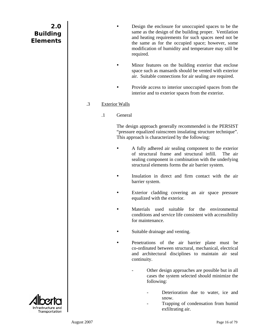- <span id="page-20-0"></span>Design the enclosure for unoccupied spaces to be the same as the design of the building proper. Ventilation and heating requirements for such spaces need not be the same as for the occupied space; however, some modification of humidity and temperature may still be required.
- Minor features on the building exterior that enclose space such as mansards should be vented with exterior air. Suitable connections for air sealing are required.
- Provide access to interior unoccupied spaces from the interior and to exterior spaces from the exterior.

## .3 Exterior Walls

.1 General

 The design approach generally recommended is the PERSIST "pressure equalized rainscreen insulating structure technique". This approach is characterized by the following:

- A fully adhered air sealing component to the exterior of structural frame and structural infill. The air sealing component in combination with the underlying structural elements forms the air barrier system.
- Insulation in direct and firm contact with the air barrier system.
- Exterior cladding covering an air space pressure equalized with the exterior.
- Materials used suitable for the environmental conditions and service life consistent with accessibility for maintenance.
- Suitable drainage and venting.
	- Penetrations of the air barrier plane must be co-ordinated between structural, mechanical, electrical and architectural disciplines to maintain air seal continuity.
		- Other design approaches are possible but in all cases the system selected should minimize the following:
			- Deterioration due to water, ice and snow.
			- Trapping of condensation from humid exfiltrating air.

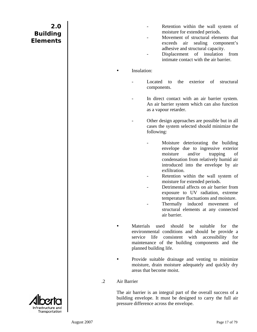- Retention within the wall system of moisture for extended periods.
- Movement of structural elements that exceeds air sealing component's adhesive and structural capacity.
- Displacement of insulation from intimate contact with the air barrier.

#### <span id="page-21-0"></span>Insulation:

- Located to the exterior of structural components.
- In direct contact with an air barrier system. An air barrier system which can also function as a vapour retarder.
- Other design approaches are possible but in all cases the system selected should minimize the following:
	- Moisture deteriorating the building envelope due to ingressive exterior moisture and/or trapping of condensation from relatively humid air introduced into the envelope by air exfiltration.
	- Retention within the wall system of moisture for extended periods.
	- Detrimental affects on air barrier from exposure to UV radiation, extreme temperature fluctuations and moisture.
	- Thermally induced movement of structural elements at any connected air barrier.
- Materials used should be suitable for the environmental conditions and should be provide a service life consistent with accessibility for maintenance of the building components and the planned building life.
- Provide suitable drainage and venting to minimize moisture, drain moisture adequately and quickly dry areas that become moist.

#### .2 Air Barrier

 The air barrier is an integral part of the overall success of a building envelope. It must be designed to carry the full air pressure difference across the envelope.

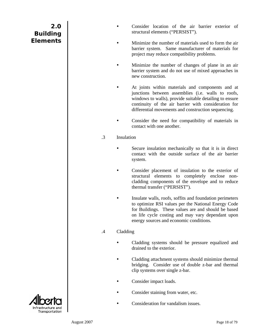- Consider location of the air barrier exterior of structural elements ("PERSIST").
- <span id="page-22-0"></span>Minimize the number of materials used to form the air barrier system. Same manufacturer of materials for project may reduce compatibility problems.
- Minimize the number of changes of plane in an air barrier system and do not use of mixed approaches in new construction.
	- At joints within materials and components and at junctions between assemblies (i.e. walls to roofs, windows to walls), provide suitable detailing to ensure continuity of the air barrier with consideration for differential movements and construction sequencing.
- Consider the need for compatibility of materials in contact with one another.
- .3 Insulation
	- Secure insulation mechanically so that it is in direct contact with the outside surface of the air barrier system.
		- Consider placement of insulation to the exterior of structural elements to completely enclose noncladding components of the envelope and to reduce thermal transfer ("PERSIST").
	- Insulate walls, roofs, soffits and foundation perimeters to optimize RSI values per the National Energy Code for Buildings. These values are and should be based on life cycle costing and may vary dependant upon energy sources and economic conditions.

## .4 Cladding

- Cladding systems should be pressure equalized and drained to the exterior.
- Cladding attachment systems should minimize thermal bridging. Consider use of double z-bar and thermal clip systems over single z-bar.
- Consider impact loads.
- Consider staining from water, etc.
- Consideration for vandalism issues.

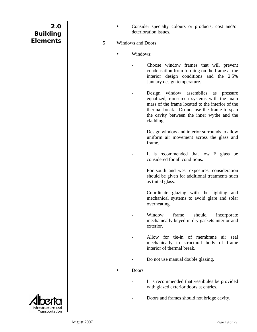<span id="page-23-0"></span>

| 2.0             |  |
|-----------------|--|
| <b>Building</b> |  |
| <b>Elements</b> |  |
|                 |  |

- Consider specialty colours or products, cost and/or deterioration issues.
- .5 Windows and Doors
	- Windows:
		- Choose window frames that will prevent condensation from forming on the frame at the interior design conditions and the 2.5% January design temperature.
		- Design window assemblies as pressure equalized, rainscreen systems with the main mass of the frame located to the interior of the thermal break. Do not use the frame to span the cavity between the inner wythe and the cladding.
		- Design window and interior surrounds to allow uniform air movement across the glass and frame.
		- It is recommended that low E glass be considered for all conditions.
		- For south and west exposures, consideration should be given for additional treatments such as tinted glass.
		- Coordinate glazing with the lighting and mechanical systems to avoid glare and solar overheating.
		- Window frame should incorporate mechanically keyed in dry gaskets interior and exterior.
		- Allow for tie-in of membrane air seal mechanically to structural body of frame interior of thermal break.
		- Do not use manual double glazing.

**Doors** 

- It is recommended that vestibules be provided with glazed exterior doors at entries.
- Doors and frames should not bridge cavity.

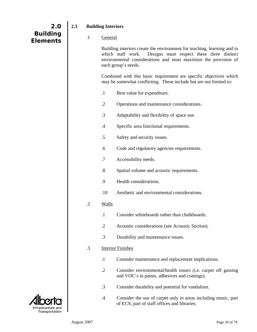<span id="page-24-0"></span>

| 2.0                                  | 2.3 |            | <b>Building Interiors</b>                                                                                                                |                                                                                                                                                                                                                                     |
|--------------------------------------|-----|------------|------------------------------------------------------------------------------------------------------------------------------------------|-------------------------------------------------------------------------------------------------------------------------------------------------------------------------------------------------------------------------------------|
| <b>Building</b><br><b>Elements</b>   |     | $\cdot$    | General                                                                                                                                  |                                                                                                                                                                                                                                     |
|                                      |     |            |                                                                                                                                          | Building interiors create the environment for teaching, learning and in<br>Designs must respect these three distinct<br>which staff work.<br>environmental considerations and must maximize the provision of<br>each group's needs. |
|                                      |     |            | Combined with this basic requirement are specific objectives which<br>may be somewhat conflicting. These include but are not limited to: |                                                                                                                                                                                                                                     |
|                                      |     |            | $\cdot$ 1                                                                                                                                | Best value for expenditure.                                                                                                                                                                                                         |
|                                      |     |            | $\cdot$ .2                                                                                                                               | Operations and maintenance considerations.                                                                                                                                                                                          |
|                                      |     |            | $\cdot$ 3                                                                                                                                | Adaptability and flexibility of space use.                                                                                                                                                                                          |
|                                      |     |            | $\cdot$                                                                                                                                  | Specific area functional requirements.                                                                                                                                                                                              |
|                                      |     |            | $.5\,$                                                                                                                                   | Safety and security issues.                                                                                                                                                                                                         |
|                                      |     |            | .6                                                                                                                                       | Code and regulatory agencies requirements.                                                                                                                                                                                          |
|                                      |     |            | $\cdot$ 7                                                                                                                                | Accessibility needs.                                                                                                                                                                                                                |
|                                      |     |            | $\boldsymbol{.8}$                                                                                                                        | Spatial volume and acoustic requirements.                                                                                                                                                                                           |
|                                      |     |            | .9                                                                                                                                       | Health considerations.                                                                                                                                                                                                              |
|                                      |     |            | .10                                                                                                                                      | Aesthetic and environmental considerations.                                                                                                                                                                                         |
|                                      |     | $\cdot$ .2 | <b>Walls</b>                                                                                                                             |                                                                                                                                                                                                                                     |
|                                      |     |            | $\cdot$                                                                                                                                  | Consider whiteboards rather than chalkboards.                                                                                                                                                                                       |
|                                      |     |            | $\cdot$ .2                                                                                                                               | Acoustic considerations (see Acoustic Section).                                                                                                                                                                                     |
|                                      |     |            | $\cdot$ 3                                                                                                                                | Durability and maintenance issues.                                                                                                                                                                                                  |
|                                      |     | .3         |                                                                                                                                          | <b>Interior Finishes</b>                                                                                                                                                                                                            |
|                                      |     |            | $\cdot$                                                                                                                                  | Consider maintenance and replacement implications.                                                                                                                                                                                  |
|                                      |     |            | $\cdot$ .2                                                                                                                               | Consider environmental/health issues (i.e. carpet off gassing<br>and VOC's in paints, adhesives and coatings).                                                                                                                      |
|                                      |     |            | $\cdot$ 3                                                                                                                                | Consider durability and potential for vandalism.                                                                                                                                                                                    |
| Infrastructure and<br>Transportation |     |            | .4                                                                                                                                       | Consider the use of carpet only in areas including music, part<br>of ECS; part of staff offices and libraries.                                                                                                                      |

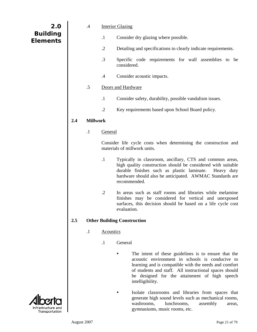<span id="page-25-0"></span>

| 2.0             |
|-----------------|
| <b>Building</b> |
| <b>Elements</b> |
|                 |

п

- .4 Interior Glazing
	- .1 Consider dry glazing where possible.
	- .2 Detailing and specifications to clearly indicate requirements.
	- .3 Specific code requirements for wall assemblies to be considered.
	- .4 Consider acoustic impacts.

## .5 Doors and Hardware

- .1 Consider safety, durability, possible vandalism issues.
- .2 Key requirements based upon School Board policy.

## **2.4 Millwork**

.1 General

 Consider life cycle costs when determining the construction and materials of millwork units.

- .1 Typically in classroom, ancillary, CTS and common areas, high quality construction should be considered with suitable durable finishes such as plastic laminate. Heavy duty hardware should also be anticipated. AWMAC Standards are recommended.
- .2 In areas such as staff rooms and libraries while melamine finishes may be considered for vertical and unexposed surfaces, this decision should be based on a life cycle cost evaluation.

## **2.5 Other Building Construction**

- .1 Acoustics
	- .1 General
		- The intent of these guidelines is to ensure that the acoustic environment in schools is conducive to learning and is compatible with the needs and comfort of students and staff. All instructional spaces should be designed for the attainment of high speech intelligibility.
		- Isolate classrooms and libraries from spaces that generate high sound levels such as mechanical rooms, washrooms, lunchrooms, assembly areas, gymnasiums, music rooms, etc.

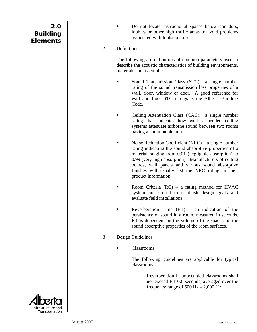Do not locate instructional spaces below corridors, lobbies or other high traffic areas to avoid problems associated with footstep noise.

### <span id="page-26-0"></span>.2 Definitions

 The following are definitions of common parameters used to describe the acoustic characteristics of building environments, materials and assemblies:

- Sound Transmission Class (STC): a single number rating of the sound transmission loss properties of a wall, floor, window or door. A good reference for wall and floor STC ratings is the Alberta Building Code.
	- Ceiling Attenuation Class (CAC): a single number rating that indicates how well suspended ceiling systems attenuate airborne sound between two rooms having a common plenum.
	- Noise Reduction Coefficient (NRC) a single number rating indicating the sound absorptive properties of a material ranging from 0.01 (negligible absorption) to 0.99 (very high absorption). Manufacturers of ceiling boards, wall panels and various sound absorptive finishes will usually list the NRC rating in their product information.
- Room Criteria  $(RC)$  a rating method for HVAC system noise used to establish design goals and evaluate field installations.
- Reverberation Time  $(RT)$  an indication of the persistence of sound in a room, measured in seconds. RT is dependent on the volume of the space and the sound absorptive properties of the room surfaces.
- .3 Design Guidelines
	- Classrooms

 The following guidelines are applicable for typical classrooms:

Reverberation in unoccupied classrooms shall not exceed RT 0.6 seconds, averaged over the frequency range of 500 Hz  $- 2,000$  Hz.

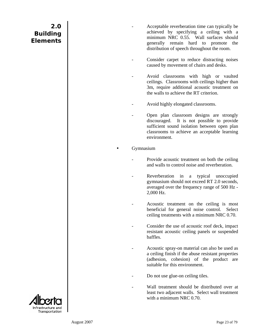- Acceptable reverberation time can typically be achieved by specifying a ceiling with a minimum NRC 0.55. Wall surfaces should generally remain hard to promote the distribution of speech throughout the room.
- Consider carpet to reduce distracting noises caused by movement of chairs and desks.
- Avoid classrooms with high or vaulted ceilings. Classrooms with ceilings higher than 3m, require additional acoustic treatment on the walls to achieve the RT criterion.
- Avoid highly elongated classrooms.
- Open plan classroom designs are strongly discouraged. It is not possible to provide sufficient sound isolation between open plan classrooms to achieve an acceptable learning environment.

#### **Gymnasium**

- Provide acoustic treatment on both the ceiling and walls to control noise and reverberation.
- Reverberation in a typical unoccupied gymnasium should not exceed RT 2.0 seconds, averaged over the frequency range of 500 Hz - 2,000 Hz.
- Acoustic treatment on the ceiling is most beneficial for general noise control. Select ceiling treatments with a minimum NRC 0.70.
- Consider the use of acoustic roof deck, impact resistant acoustic ceiling panels or suspended baffles.
- Acoustic spray-on material can also be used as a ceiling finish if the abuse resistant properties (adhesion, cohesion) of the product are suitable for this environment.
- Do not use glue-on ceiling tiles.
- Wall treatment should be distributed over at least two adjacent walls. Select wall treatment with a minimum NRC 0.70.

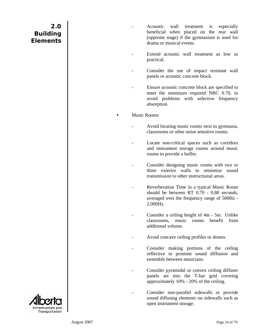- Acoustic wall treatment is especially beneficial when placed on the rear wall (opposite stage) if the gymnasium is used for drama or musical events.
- Extend acoustic wall treatment as low as practical.
- Consider the use of impact resistant wall panels or acoustic concrete block.
- Ensure acoustic concrete block are specified to meet the minimum required NRC 0.70, to avoid problems with selective frequency absorption.

#### **Music Rooms**

- Avoid locating music rooms next to gymnasia, classrooms or other noise sensitive rooms.
- Locate non-critical spaces such as corridors and instrument storage rooms around music rooms to provide a buffer.
- Consider designing music rooms with two or three exterior walls to minimize sound transmission to other instructional areas.
- Reverberation Time in a typical Music Room should be between RT 0.70 - 0.80 seconds, averaged over the frequency range of 500Hz - 2,000Hz.
- Consider a ceiling height of 4m 5m. Unlike classrooms, music rooms benefit from additional volume.
- Avoid concave ceiling profiles or domes.
- Consider making portions of the ceiling reflective to promote sound diffusion and ensemble between musicians.
- Consider pyramidal or convex ceiling diffuser panels set into the T-bar grid covering approximately 10% - 20% of the ceiling.
- Consider non-parallel sidewalls or provide sound diffusing elements on sidewalls such as open instrument storage.

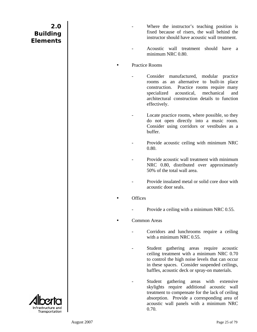- Where the instructor's teaching position is fixed because of risers, the wall behind the instructor should have acoustic wall treatment.
- Acoustic wall treatment should have a minimum NRC 0.80.

#### Practice Rooms

- Consider manufactured, modular practice rooms as an alternative to built-in place construction. Practice rooms require many specialized acoustical, mechanical and architectural construction details to function effectively.
- Locate practice rooms, where possible, so they do not open directly into a music room. Consider using corridors or vestibules as a buffer.
- Provide acoustic ceiling with minimum NRC 0.80.
- Provide acoustic wall treatment with minimum NRC 0.80, distributed over approximately 50% of the total wall area.
- Provide insulated metal or solid core door with acoustic door seals.
- **Offices** 
	- Provide a ceiling with a minimum NRC 0.55.
- Common Areas
	- Corridors and lunchrooms require a ceiling with a minimum NRC 0.55.
	- Student gathering areas require acoustic ceiling treatment with a minimum NRC 0.70 to control the high noise levels that can occur in these spaces. Consider suspended ceilings, baffles, acoustic deck or spray-on materials.
	- Student gathering areas with extensive skylights require additional acoustic wall treatment to compensate for the lack of ceiling absorption. Provide a corresponding area of acoustic wall panels with a minimum NRC 0.70.

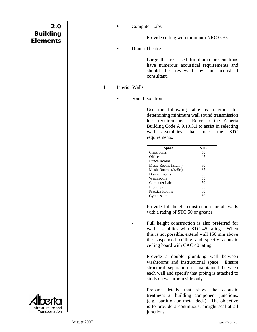- <span id="page-30-0"></span>**Computer Labs** 
	- Provide ceiling with minimum NRC 0.70.
- Drama Theatre
	- Large theatres used for drama presentations have numerous acoustical requirements and should be reviewed by an acoustical consultant.
- .4 Interior Walls
	- Sound Isolation
		- Use the following table as a guide for determining minimum wall sound transmission loss requirements. Refer to the Alberta Building Code A 9.10.3.1 to assist in selecting wall assemblies that meet the STC requirements.

| ace                   | STC |
|-----------------------|-----|
| Classrooms            | 50  |
| Offices               | 45  |
| Lunch Rooms           | 55  |
| Music Rooms (Elem.)   | 60  |
| Music Rooms (Jr./Sr.) | 65  |
| Drama Rooms           | 55  |
| Washrooms             | 55  |
| <b>Computer Labs</b>  | 50  |
| Libraries             | 50  |
| <b>Practice Rooms</b> | 60  |
| Gymnasium             |     |

- Provide full height construction for all walls with a rating of STC 50 or greater.
- Full height construction is also preferred for wall assemblies with STC 45 rating. When this is not possible, extend wall 150 mm above the suspended ceiling and specify acoustic ceiling board with CAC 40 rating.
- Provide a double plumbing wall between washrooms and instructional space. Ensure structural separation is maintained between each wall and specify that piping is attached to studs on washroom side only.
- Prepare details that show the acoustic treatment at building component junctions, (e.g., partition on metal deck). The objective is to provide a continuous, airtight seal at all junctions.

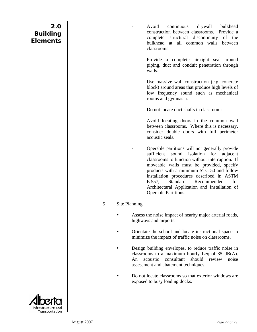- <span id="page-31-0"></span>Avoid continuous drywall bulkhead construction between classrooms. Provide a complete structural discontinuity of the bulkhead at all common walls between classrooms.
- Provide a complete air-tight seal around piping, duct and conduit penetration through walls.
- Use massive wall construction (e.g. concrete block) around areas that produce high levels of low frequency sound such as mechanical rooms and gymnasia.
- Do not locate duct shafts in classrooms.
- Avoid locating doors in the common wall between classrooms. Where this is necessary, consider double doors with full perimeter acoustic seals.
- Operable partitions will not generally provide sufficient sound isolation for adjacent classrooms to function without interruption. If moveable walls must be provided, specify products with a minimum STC 50 and follow installation procedures described in ASTM E 557, Standard Recommended for Architectural Application and Installation of Operable Partitions.

#### .5 Site Planning

- Assess the noise impact of nearby major arterial roads, highways and airports.
- Orientate the school and locate instructional space to minimize the impact of traffic noise on classrooms.
- Design building envelopes, to reduce traffic noise in classrooms to a maximum hourly Leq of 35 dB(A). An acoustic consultant should review noise assessment and abatement techniques.
- Do not locate classrooms so that exterior windows are exposed to busy loading docks.

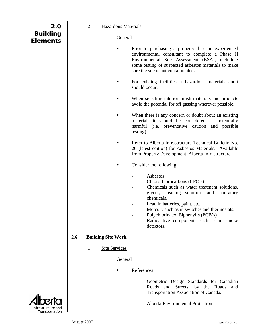<span id="page-32-0"></span>

| 2.0<br><b>Building</b><br><b>Elements</b> |     | $\cdot$ .2 | $\cdot$ 1                 | <b>Hazardous Materials</b><br>General |                                                                                                                                                                                                                                                                                                                                     |
|-------------------------------------------|-----|------------|---------------------------|---------------------------------------|-------------------------------------------------------------------------------------------------------------------------------------------------------------------------------------------------------------------------------------------------------------------------------------------------------------------------------------|
|                                           |     |            |                           |                                       | Prior to purchasing a property, hire an experienced<br>environmental consultant to complete a Phase II<br>Environmental Site Assessment (ESA), including<br>some testing of suspected asbestos materials to make<br>sure the site is not contaminated.                                                                              |
|                                           |     |            |                           |                                       | For existing facilities a hazardous materials audit<br>should occur.                                                                                                                                                                                                                                                                |
|                                           |     |            |                           |                                       | When selecting interior finish materials and products<br>avoid the potential for off gassing wherever possible.                                                                                                                                                                                                                     |
|                                           |     |            |                           |                                       | When there is any concern or doubt about an existing<br>material, it should be considered as potentially<br>harmful (i.e. preventative caution and possible<br>testing).                                                                                                                                                            |
|                                           |     |            |                           |                                       | Refer to Alberta Infrastructure Technical Bulletin No.<br>20 (latest edition) for Asbestos Materials. Available<br>from Property Development, Alberta Infrastructure.                                                                                                                                                               |
|                                           |     |            |                           |                                       | Consider the following:                                                                                                                                                                                                                                                                                                             |
|                                           |     |            |                           |                                       | Asbestos<br>Chlorofluorocarbons (CFC's)<br>Chemicals such as water treatment solutions,<br>glycol, cleaning solutions and laboratory<br>chemicals.<br>Lead in batteries, paint, etc.<br>Mercury such as in switches and thermostats.<br>Polychlorinated Biphenyl's (PCB's)<br>Radioactive components such as in smoke<br>detectors. |
|                                           | 2.6 |            | <b>Building Site Work</b> |                                       |                                                                                                                                                                                                                                                                                                                                     |
|                                           |     | $\cdot$    |                           | <b>Site Services</b>                  |                                                                                                                                                                                                                                                                                                                                     |
|                                           |     |            | $\cdot$                   | General                               |                                                                                                                                                                                                                                                                                                                                     |
|                                           |     |            |                           |                                       | References                                                                                                                                                                                                                                                                                                                          |
|                                           |     |            |                           |                                       | Geometric Design Standards for Canadian<br>and Streets, by the Roads<br>Roads<br>and<br>Transportation Association of Canada.                                                                                                                                                                                                       |
| Infrastructure and                        |     |            |                           |                                       | Alberta Environmental Protection:                                                                                                                                                                                                                                                                                                   |

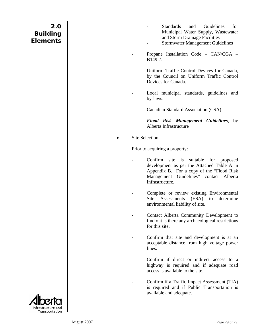- Standards and Guidelines for Municipal Water Supply, Wastewater and Storm Drainage Facilities
- Stormwater Management Guidelines
- Propane Installation Code CAN/CGA B149.2.
- Uniform Traffic Control Devices for Canada, by the Council on Uniform Traffic Control Devices for Canada.
- Local municipal standards, guidelines and by-laws.
- Canadian Standard Association (CSA)
- *Flood Risk Management Guidelines*, by Alberta Infrastructure
- Site Selection

Prior to acquiring a property:

- Confirm site is suitable for proposed development as per the Attached Table A in Appendix B. For a copy of the "Flood Risk Management Guidelines" contact Alberta Infrastructure.
- Complete or review existing Environmental Site Assessments (ESA) to determine environmental liability of site.
- Contact Alberta Community Development to find out is there any archaeological restrictions for this site.
- Confirm that site and development is at an acceptable distance from high voltage power lines.
- Confirm if direct or indirect access to a highway is required and if adequate road access is available to the site.
- Confirm if a Traffic Impact Assessment (TIA) is required and if Public Transportation is available and adequate.

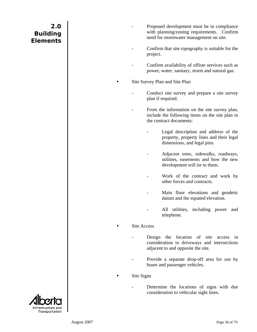- Proposed development must be in compliance with planning/zoning requirements. Confirm need for stormwater management on site.
- Confirm that site topography is suitable for the project.
- Confirm availability of offiste services such as power, water, sanitary, storm and natural gas.

Site Survey Plan and Site Plan

- Conduct site survey and prepare a site survey plan if required.
- From the information on the site survey plan, include the following items on the site plan in the contract documents:
	- Legal description and address of the property, property lines and their legal dimensions, and legal pins.
	- Adjacent trees, sidewalks, roadways, utilities, easements and how the new development will tie to them.
	- Work of the contract and work by other forces and contracts.
	- Main floor elevations and geodetic datum and the equated elevation.
	- All utilities, including power and telephone.

#### Site Access

- Design the location of site access in consideration to driveways and intersections adjacent to and opposite the site.
- Provide a separate drop-off area for use by buses and passenger vehicles.

#### Site Signs

Determine the locations of signs with due consideration to vehicular sight lines.

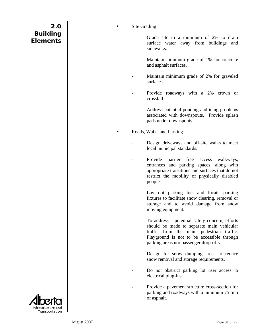#### Site Grading

- Grade site to a minimum of 2% to drain surface water away from buildings and sidewalks.
- Maintain minimum grade of 1% for concrete and asphalt surfaces.
- Maintain minimum grade of 2% for graveled surfaces.
- Provide roadways with a 2% crown or crossfall.
- Address potential ponding and icing problems associated with downspouts. Provide splash pads under downspouts.

Roads, Walks and Parking

- Design driveways and off-site walks to meet local municipal standards.
- Provide barrier free access walkways, entrances and parking spaces, along with appropriate transitions and surfaces that do not restrict the mobility of physically disabled people.
- Lay out parking lots and locate parking fixtures to facilitate snow clearing, removal or storage and to avoid damage from snow moving equipment.
- To address a potential safety concern, efforts should be made to separate main vehicular traffic from the main pedestrian traffic. Playground is not to be accessible through parking areas nor passenger drop-offs.
- Design for snow dumping areas to reduce snow removal and storage requirements.
- Do not obstruct parking lot user access to electrical plug-ins.
- Provide a pavement structure cross-section for parking and roadways with a minimum 75 mm of asphalt.

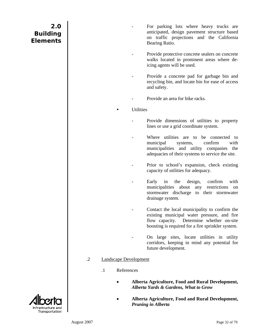- For parking lots where heavy trucks are anticipated, design pavement structure based on traffic projections and the California Bearing Ratio.
- Provide protective concrete sealers on concrete walks located in prominent areas where deicing agents will be used.
- Provide a concrete pad for garbage bin and recycling bin, and locate bin for ease of access and safety.
- Provide an area for bike racks.

**Utilities** 

- Provide dimensions of utilities to property lines or use a grid coordinate system.
- Where utilities are to be connected to municipal systems, confirm with municipalities and utility companies the adequacies of their systems to service the site.
- Prior to school's expansion, check existing capacity of utilities for adequacy.
- Early in the design, confirm with municipalities about any restrictions on stormwater discharge to their stormwater drainage system.
- Contact the local municipality to confirm the existing municipal water pressure, and fire flow capacity. Determine whether on-site boosting is required for a fire sprinkler system.
- On large sites, locate utilities in utility corridors, keeping in mind any potential for future development.
- .2 Landscape Development
	- .1 References
		- **Alberta Agriculture, Food and Rural Development,**  *Alberta Yards & Gardens, What to Grow*
		- **Alberta Agriculture, Food and Rural Development,**  *Pruning in Alberta*

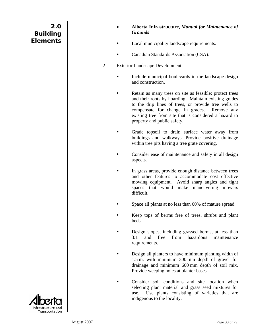- **Alberta Infrastructure,** *Manual for Maintenance of Grounds*
- Local municipality landscape requirements.
- Canadian Standards Association (CSA).
- .2 Exterior Landscape Development
	- Include municipal boulevards in the landscape design and construction.
		- Retain as many trees on site as feasible; protect trees and their roots by hoarding. Maintain existing grades to the drip lines of trees, or provide tree wells to compensate for change in grades. Remove any existing tree from site that is considered a hazard to property and public safety.
		- Grade topsoil to drain surface water away from buildings and walkways. Provide positive drainage within tree pits having a tree grate covering.
	- Consider ease of maintenance and safety in all design aspects.
	- In grass areas, provide enough distance between trees and other features to accommodate cost effective mowing equipment. Avoid sharp angles and tight spaces that would make maneuvering mowers difficult.
	- Space all plants at no less than 60% of mature spread.
	- Keep tops of berms free of trees, shrubs and plant beds.
	- Design slopes, including grassed berms, at less than 3:1 and free from hazardous maintenance requirements.
	- Design all planters to have minimum planting width of 1.5 m, with minimum 300 mm depth of gravel for drainage and minimum 600 mm depth of soil mix. Provide weeping holes at planter bases.
	- Consider soil conditions and site location when selecting plant material and grass seed mixtures for use. Use plants consisting of varieties that are indigenous to the locality.

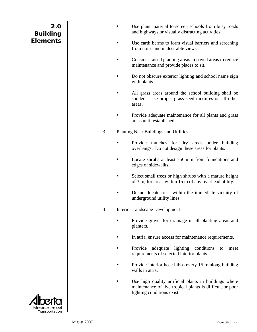- Use plant material to screen schools from busy roads and highways or visually distracting activities.
- Use earth berms to form visual barriers and screening from noise and undesirable views.
- Consider raised planting areas in paved areas to reduce maintenance and provide places to sit.
- Do not obscure exterior lighting and school name sign with plants.
- All grass areas around the school building shall be sodded. Use proper grass seed mixtures on all other areas.
- Provide adequate maintenance for all plants and grass areas until established.
- .3 Planting Near Buildings and Utilities
	- Provide mulches for dry areas under building overhangs. Do not design these areas for plants.
	- Locate shrubs at least 750 mm from foundations and edges of sidewalks.
	- Select small trees or high shrubs with a mature height of 3 m, for areas within 15 m of any overhead utility.
	- Do not locate trees within the immediate vicinity of underground utility lines.
- .4 Interior Landscape Development
	- Provide gravel for drainage in all planting areas and planters.
	- In atria, ensure access for maintenance requirements.
	- Provide adequate lighting conditions to meet requirements of selected interior plants.
	- Provide interior hose bibbs every 15 m along building walls in atria.
	- Use high quality artificial plants in buildings where maintenance of live tropical plants is difficult or poor lighting conditions exist.

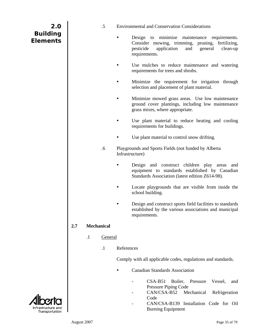| 2.0                                |     |           | $.5\,$            |            | Environmental a                            |
|------------------------------------|-----|-----------|-------------------|------------|--------------------------------------------|
| <b>Building</b><br><b>Elements</b> |     |           |                   |            | Design<br>Conside<br>pesticide<br>requiren |
|                                    |     |           |                   |            | Use mu<br>requiren                         |
|                                    |     |           |                   |            | Minimiz<br>selection                       |
|                                    |     |           |                   |            | Minimiz<br>ground<br>grass mi              |
|                                    |     |           |                   |            | Use pla<br>requiren                        |
|                                    |     |           |                   |            | Use plar                                   |
|                                    |     |           | .6                |            | Playgrounds and<br>Infrastructure)         |
|                                    |     |           |                   |            | Design<br>equipme<br>Standard              |
|                                    |     |           |                   |            | Locate<br>school b                         |
|                                    |     |           |                   |            | Design a<br>establish<br>requiren          |
|                                    | 2.7 |           | <b>Mechanical</b> |            |                                            |
|                                    |     | $\cdot$ 1 | General           |            |                                            |
|                                    |     |           | $\cdot$ 1         | References |                                            |
|                                    |     |           |                   |            | Comply with all                            |
|                                    |     |           |                   |            | Canadia                                    |
|                                    |     |           |                   |            |                                            |

×

- and Conservation Considerations
	- to minimize maintenance requirements. er mowing, trimming, pruning, fertilizing, e application and general clean-up nents.
	- alches to reduce maintenance and watering nents for trees and shrubs.
	- ze the requirement for irrigation through n and placement of plant material.
	- te mowed grass areas. Use low maintenance cover plantings, including low maintenance ixes, where appropriate.
	- int material to reduce heating and cooling nents for buildings.
	- nt material to control snow drifting.
- d Sports Fields (not funded by Alberta
	- and construct children play areas and ent to standards established by Canadian ds Association (latest edition Z614-98).
	- playgrounds that are visible from inside the uilding.
	- and construct sports field facilities to standards hed by the various associations and municipal nents.

applicable codes, regulations and standards.

- In Standards Association
	- CSA-B51 Boiler, Pressure Vessel, and Pressure Piping Code
	- CAN/CSA-B52 Mechanical Refrigeration Code
	- CAN/CSA-B139 Installation Code for Oil Burning Equipment

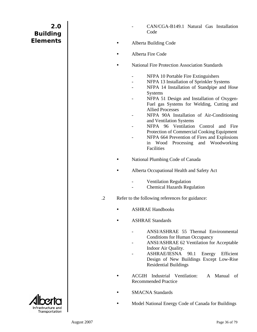- CAN/CGA-B149.1 Natural Gas Installation Code
- Alberta Building Code
- Alberta Fire Code
- National Fire Protection Association Standards
	- NFPA 10 Portable Fire Extinguishers
	- NFPA 13 Installation of Sprinkler Systems
	- NFPA 14 Installation of Standpipe and Hose Systems
	- NFPA 51 Design and Installation of Oxygen-Fuel gas Systems for Welding, Cutting and Allied Processes
	- NFPA 90A Installation of Air-Conditioning and Ventilation Systems
	- NFPA 96 Ventilation Control and Fire Protection of Commercial Cooking Equipment
	- NFPA 664 Prevention of Fires and Explosions in Wood Processing and Woodworking **Facilities**
- National Plumbing Code of Canada
- Alberta Occupational Health and Safety Act
	- Ventilation Regulation
	- Chemical Hazards Regulation
- .2 Refer to the following references for guidance:
	- ASHRAE Handbooks
	- ASHRAE Standards
		- ANSI/ASHRAE 55 Thermal Environmental Conditions for Human Occupancy
		- ANSI/ASHRAE 62 Ventilation for Acceptable Indoor Air Quality.
		- ASHRAE/IESNA 90.1 Energy Efficient Design of New Buildings Except Low-Rise Residential Buildings
	- y ACGIH Industrial Ventilation: A Manual of Recommended Practice
	- SMACNA Standards
	- Model National Energy Code of Canada for Buildings

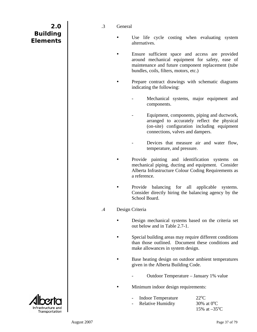| 2.0             |  |
|-----------------|--|
| <b>Building</b> |  |
| <b>Elements</b> |  |

#### .3 General

- Use life cycle costing when evaluating system alternatives.
- Ensure sufficient space and access are provided around mechanical equipment for safety, ease of maintenance and future component replacement (tube bundles, coils, filters, motors, etc.)
	- Prepare contract drawings with schematic diagrams indicating the following:
		- Mechanical systems, major equipment and components.
		- Equipment, components, piping and ductwork, arranged to accurately reflect the physical (on-site) configuration including equipment connections, valves and dampers.
		- Devices that measure air and water flow, temperature, and pressure.
- Provide painting and identification systems on mechanical piping, ducting and equipment. Consider Alberta Infrastructure Colour Coding Requirements as a reference.
- Provide balancing for all applicable systems. Consider directly hiring the balancing agency by the School Board.
- .4 Design Criteria
	- Design mechanical systems based on the criteria set out below and in Table 2.7-1.
	- Special building areas may require different conditions than those outlined. Document these conditions and make allowances in system design.
	- Base heating design on outdoor ambient temperatures given in the Alberta Building Code.
		- Outdoor Temperature January 1% value
		- Minimum indoor design requirements:

| - Indoor Temperature | $22^{\circ}$ C         |
|----------------------|------------------------|
| - Relative Humidity  | 30\% at $0^{\circ}$ C  |
|                      | 15% at $-35^{\circ}$ C |

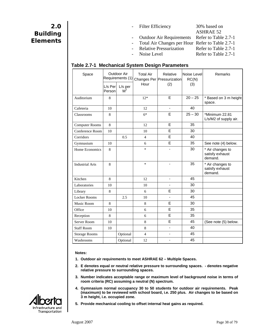- Filter Efficiency 30% based on
	- ASHRAE 52 Outdoor Air Requirements Refer to Table 2.7-1 Total Air Changes per Hour Refer to Table 2.7-1 Relative Pressurization Refer to Table 2.7-1
- Noise Level Refer to Table 2.7-1
- 

#### **Table 2.7-1 Mechanical System Design Parameters**

| Space                  |                   | Outdoor Air<br>Requirements (1) | <b>Total Air</b><br>Hour | Relative<br>Changes Per Pressurization<br>(2) | Noise Level<br>RC(N)<br>(3) | Remarks                                        |
|------------------------|-------------------|---------------------------------|--------------------------|-----------------------------------------------|-----------------------------|------------------------------------------------|
|                        | L/s Per<br>Person | $L/s$ per<br>$M^2$              |                          |                                               |                             |                                                |
| Auditorium             | 8                 |                                 | $12*$                    | E                                             | $20 - 25$                   | * Based on 3 m height<br>space.                |
| Cafeteria              | 10                |                                 | 12                       | ä,                                            | 40                          |                                                |
| Classrooms             | 8                 |                                 | $6*$                     | E                                             | $25 - 30$                   | *Minimum 22.81<br>L/s/M2 of supply air.        |
| <b>Computer Rooms</b>  | 8                 |                                 | 12                       | E                                             | 35                          |                                                |
| Conference Room        | 10                |                                 | 10                       | E                                             | 30                          |                                                |
| Corridors              |                   | 0.5                             | 4                        | E                                             | 40                          |                                                |
| Gymnasium              | 10                |                                 | 6                        | E                                             | 35                          | See note (4) below.                            |
| Home Economics         | 8                 |                                 | $\ast$                   |                                               | 30                          | * Air changes to<br>satisfy exhaust<br>demand. |
| <b>Industrial Arts</b> | 8                 |                                 | $\ast$                   | L,                                            | 35                          | * Air changes to<br>satisfy exhaust<br>demand. |
| Kitchen                | 8                 |                                 | 12                       | ÷,                                            | 45                          |                                                |
| Laboratories           | 10                |                                 | 10                       |                                               | 30                          |                                                |
| Library                | 8                 |                                 | 6                        | E                                             | 30                          |                                                |
| <b>Locker Rooms</b>    |                   | 2.5                             | 10                       |                                               | 45                          |                                                |
| Music Room             | 8                 |                                 | 8                        | E                                             | 30                          |                                                |
| Office                 | 10                |                                 | 6                        | E                                             | 35                          |                                                |
| Reception              | 8                 |                                 | 6                        | E                                             | 35                          |                                                |
| <b>Server Room</b>     | 10                |                                 | 8                        | E                                             | 45                          | (See note (5) below.                           |
| <b>Staff Room</b>      | 10                |                                 | 8                        | L,                                            | 40                          |                                                |
| <b>Storage Rooms</b>   |                   | Optional                        | $\overline{4}$           | ÷                                             | 45                          |                                                |
| Washrooms              |                   | Optional                        | 12                       | -                                             | 45                          |                                                |

#### **Notes:**

- **1. Outdoor air requirements to meet ASHRAE 62 Multiple Spaces.**
- **2. E denotes equal or neutral relative pressure to surrounding spaces. denotes negative relative pressure to surrounding spaces.**
- **3. Number indicates acceptable range or maximum level of background noise in terms of room criteria (RC) assuming a neutral (N) spectrum.**
- **4. Gymnasium normal occupancy 30 to 50 students for outdoor air requirements. Peak (maximum) to be reviewed with school board, i.e. 250 plus. Air changes to be based on 3 m height, i.e. occupied zone.**
- **5. Provide mechanical cooling to offset internal heat gains as required.**

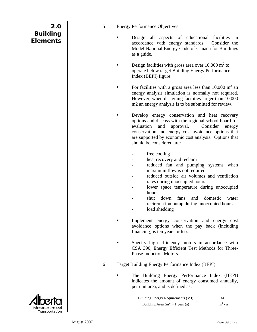- .5 Energy Performance Objectives
	- Design all aspects of educational facilities in accordance with energy standards. Consider the Model National Energy Code of Canada for Buildings as a guide.
	- Design facilities with gross area over  $10,000 \text{ m}^2$  to operate below target Building Energy Performance Index (BEPI) figure.
	- For facilities with a gross area less than  $10,000$  m<sup>2</sup> an energy analysis simulation is normally not required. However, when designing facilities larger than 10,000 m2 an energy analysis is to be submitted for review.
		- Develop energy conservation and heat recovery options and discuss with the regional school board for evaluation and approval. Consider energy conservation and energy cost avoidance options that are supported by economic cost analysis. Options that should be considered are:
			- free cooling
			- heat recovery and reclaim
			- reduced fan and pumping systems when maximum flow is not required
			- reduced outside air volumes and ventilation rates during unoccupied hours
			- lower space temperature during unoccupied hours.
			- shut down fans and domestic water recirculation pump during unoccupied hours
			- load shedding
		- Implement energy conservation and energy cost avoidance options when the pay back (including financing) is ten years or less.
	- Specify high efficiency motors in accordance with CSA 390, Energy Efficient Test Methods for Three-Phase Induction Motors.
- .6 Target Building Energy Performance Index (BEPI)
	- The Building Energy Performance Index (BEPI) indicates the amount of energy consumed annually, per unit area, and is defined as:

| Building Energy Requirements (MJ)      |     | МJ            |
|----------------------------------------|-----|---------------|
| Building Area $(m^2) \cdot 1$ year (a) | $=$ | $m^2 \cdot a$ |

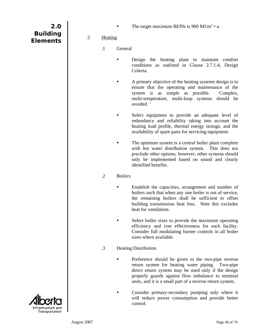• The target maximum BEPIs is  $900 \text{ MJ/m}^2 \cdot a$ .

**2.0 Building Elements** 

.2 Heating

- .1 General
	- Design the heating plant to maintain comfort conditions as outlined in Clause 2.7.1.4, Design Criteria.
	- A primary objective of the heating systems design is to ensure that the operating and maintenance of the system is as simple as possible. Complex, multi-temperature, multi-loop systems should be avoided. '
	- Select equipment to provide an adequate level of redundancy and reliability taking into account the heating load profile, thermal energy storage, and the availability of spare parts for servicing equipment.
	- The optimum system is a central boiler plant complete with hot water distribution system. This does not preclude other options; however, other systems should only be implemented based on sound and clearly identified benefits.

### .2 Boilers

- Establish the capacities, arrangement and number of boilers such that when any one boiler is out of service, the remaining boilers shall be sufficient to offset building transmission heat loss. Note this excludes heat for ventilation.
- Select boiler sizes to provide the maximum operating efficiency and cost effectiveness for each facility. Consider full modulating burner controls in all boiler sizes where available.
- .3 Heating Distribution
	- Preference should be given to the two-pipe reverse return system for heating water piping. Two-pipe direct return system may be used only if the design properly guards against flow imbalance to terminal units, and it is a small part of a reverse return system.
	- Consider primary-secondary pumping only where it will reduce power consumption and provide better control.

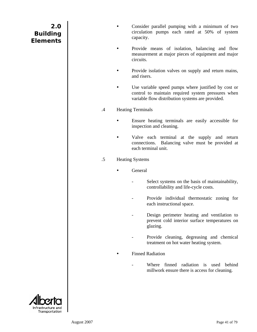- Consider parallel pumping with a minimum of two circulation pumps each rated at 50% of system capacity.
- Provide means of isolation, balancing and flow measurement at major pieces of equipment and major circuits.
- Provide isolation valves on supply and return mains, and risers.
- Use variable speed pumps where justified by cost or control to maintain required system pressures when variable flow distribution systems are provided.
- .4 Heating Terminals
	- Ensure heating terminals are easily accessible for inspection and cleaning.
	- Valve each terminal at the supply and return connections. Balancing valve must be provided at each terminal unit.
- .5 Heating Systems
	- General
		- Select systems on the basis of maintainability, controllability and life-cycle costs.
		- Provide individual thermostatic zoning for each instructional space.
		- Design perimeter heating and ventilation to prevent cold interior surface temperatures on glazing.
		- Provide cleaning, degreasing and chemical treatment on hot water heating system.
		- **Finned Radiation** 
			- Where finned radiation is used behind millwork ensure there is access for cleaning.

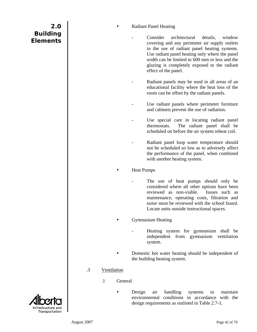#### **Radiant Panel Heating**

- Consider architectural details, window covering and any perimeter air supply outlets in the use of radiant panel heating systems. Use radiant panel heating only where the panel width can be limited to 600 mm or less and the glazing is completely exposed to the radiant effect of the panel.
- Radiant panels may be used in all areas of an educational facility where the heat loss of the room can be offset by the radiant panels.
- Use radiant panels where perimeter furniture and cabinets prevent the use of radiation.
- Use special care in locating radiant panel thermostats. The radiant panel shall be scheduled on before the air system reheat coil.
- Radiant panel loop water temperature should not be scheduled so low as to adversely affect the performance of the panel, when combined with another heating system.

#### **Heat Pumps**

The use of heat pumps should only be considered where all other options have been reviewed as non-viable. Issues such as maintenance, operating costs, filtration and noise must be reviewed with the school board. Locate units outside instructional spaces.

#### y Gymnasium Heating

- Heating system for gymnasium shall be independent from gymnasium ventilation system.
- Domestic hot water heating should be independent of the building heating system.

#### .3 Ventilation

- .1 General
	- Design air handling systems to maintain environmental conditions in accordance with the design requirements as outlined in Table 2.7-1.



**2.0**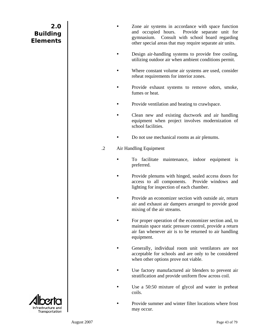- Zone air systems in accordance with space function and occupied hours. Provide separate unit for gymnasium. Consult with school board regarding other special areas that may require separate air units.
- Design air-handling systems to provide free cooling, utilizing outdoor air when ambient conditions permit.
- Where constant volume air systems are used, consider reheat requirements for interior zones.
- Provide exhaust systems to remove odors, smoke, fumes or heat.
- Provide ventilation and heating to crawlspace.
- Clean new and existing ductwork and air handling equipment when project involves modernization of school facilities.
- Do not use mechanical rooms as air plenums.
- .2 Air Handling Equipment
	- To facilitate maintenance, indoor equipment is preferred.
	- Provide plenums with hinged, sealed access doors for access to all components. Provide windows and lighting for inspection of each chamber.
	- Provide an economizer section with outside air, return air and exhaust air dampers arranged to provide good mixing of the air streams.
	- For proper operation of the economizer section and, to maintain space static pressure control, provide a return air fan whenever air is to be returned to air handling equipment.
	- Generally, individual room unit ventilators are not acceptable for schools and are only to be considered when other options prove not viable.
	- Use factory manufactured air blenders to prevent air stratification and provide uniform flow across coil.
	- Use a 50:50 mixture of glycol and water in preheat coils.
	- Provide summer and winter filter locations where frost may occur.

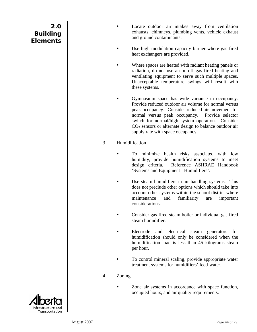- Locate outdoor air intakes away from ventilation exhausts, chimneys, plumbing vents, vehicle exhaust and ground contaminants.
- Use high modulation capacity burner where gas fired heat exchangers are provided.
- Where spaces are heated with radiant heating panels or radiation, do not use an on-off gas fired heating and ventilating equipment to serve such multiple spaces. Unacceptable temperature swings will result with these systems.
	- Gymnasium space has wide variance in occupancy. Provide reduced outdoor air volume for normal versus peak occupancy. Consider reduced air movement for normal versus peak occupancy. Provide selector switch for normal/high system operation. Consider  $CO<sub>2</sub>$  sensors or alternate design to balance outdoor air supply rate with space occupancy.
- .3 Humidification
	- To minimize health risks associated with low humidity, provide humidification systems to meet design criteria. Reference ASHRAE Handbook 'Systems and Equipment - Humidifiers'.
	- Use steam humidifiers in air handling systems. This does not preclude other options which should take into account other systems within the school district where maintenance and familiarity are important considerations.
	- Consider gas fired steam boiler or individual gas fired steam humidifier.
	- Electrode and electrical steam generators for humidification should only be considered when the humidification load is less than 45 kilograms steam per hour.
	- To control mineral scaling, provide appropriate water treatment systems for humidifiers' feed-water.
- .4 Zoning
	- Zone air systems in accordance with space function, occupied hours, and air quality requirements.

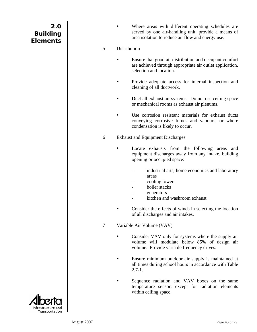| 2.0             |  |
|-----------------|--|
| <b>Building</b> |  |
| <b>Elements</b> |  |

Where areas with different operating schedules are served by one air-handling unit, provide a means of area isolation to reduce air flow and energy use.

#### .5 Distribution

- Ensure that good air distribution and occupant comfort are achieved through appropriate air outlet application, selection and location.
- Provide adequate access for internal inspection and cleaning of all ductwork.
- Duct all exhaust air systems. Do not use ceiling space or mechanical rooms as exhaust air plenums.
- Use corrosion resistant materials for exhaust ducts conveying corrosive fumes and vapours, or where condensation is likely to occur.
- .6 Exhaust and Equipment Discharges
	- Locate exhausts from the following areas and equipment discharges away from any intake, building opening or occupied space:
		- industrial arts, home economics and laboratory areas
		- cooling towers
		- boiler stacks
		- **generators**
		- kitchen and washroom exhaust
	- Consider the effects of winds in selecting the location of all discharges and air intakes.
- .7 Variable Air Volume (VAV)
	- Consider VAV only for systems where the supply air volume will modulate below 85% of design air volume. Provide variable frequency drives.
	- Ensure minimum outdoor air supply is maintained at all times during school hours in accordance with Table  $2.7 - 1.$
	- Sequence radiation and VAV boxes on the same temperature sensor, except for radiation elements within ceiling space.

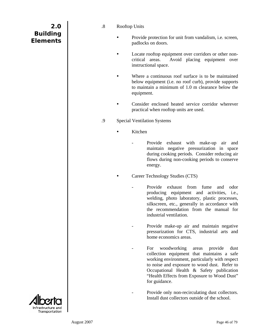| 2.0             |  |
|-----------------|--|
| <b>Building</b> |  |
| <b>Elements</b> |  |

- .8 Rooftop Units
	- Provide protection for unit from vandalism, *i.e.* screen, padlocks on doors.
	- Locate rooftop equipment over corridors or other noncritical areas. Avoid placing equipment over instructional space.
	- Where a continuous roof surface is to be maintained below equipment (i.e. no roof curb), provide supports to maintain a minimum of 1.0 m clearance below the equipment.
	- Consider enclosed heated service corridor wherever practical when rooftop units are used.
- .9 Special Ventilation Systems
	- Kitchen
		- Provide exhaust with make-up air and maintain negative pressurization in space during cooking periods. Consider reducing air flows during non-cooking periods to conserve energy.

Career Technology Studies (CTS)

- Provide exhaust from fume and odor producing equipment and activities, i.e., welding, photo laboratory, plastic processes, silkscreen, etc., generally in accordance with the recommendation from the manual for industrial ventilation.
- Provide make-up air and maintain negative pressurization for CTS, industrial arts and home economics areas.
- For woodworking areas provide dust collection equipment that maintains a safe working environment, particularly with respect to noise and exposure to wood dust. Refer to Occupational Health & Safety publication "Health Effects from Exposure to Wood Dust" for guidance.
- Provide only non-recirculating dust collectors. Install dust collectors outside of the school.

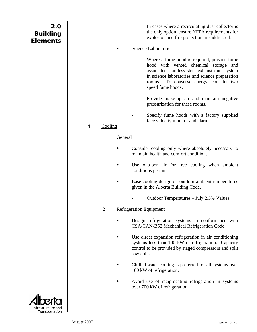In cases where a recirculating dust collector is the only option, ensure NFPA requirements for explosion and fire protection are addressed.

#### Science Laboratories

- Where a fume hood is required, provide fume hood with vented chemical storage and associated stainless steel exhaust duct system in science laboratories and science preparation rooms. To conserve energy, consider two speed fume hoods.
- Provide make-up air and maintain negative pressurization for these rooms.
- Specify fume hoods with a factory supplied face velocity monitor and alarm.

### .4 Cooling

- .1 General
	- Consider cooling only where absolutely necessary to maintain health and comfort conditions.
	- Use outdoor air for free cooling when ambient conditions permit.
	- Base cooling design on outdoor ambient temperatures given in the Alberta Building Code.
		- Outdoor Temperatures July 2.5% Values
- .2 Refrigeration Equipment
	- Design refrigeration systems in conformance with CSA/CAN-B52 Mechanical Refrigeration Code.
	- Use direct expansion refrigeration in air conditioning systems less than 100 kW of refrigeration. Capacity control to be provided by staged compressors and split row coils.
	- Chilled water cooling is preferred for all systems over 100 kW of refrigeration.
	- Avoid use of reciprocating refrigeration in systems over 700 kW of refrigeration.

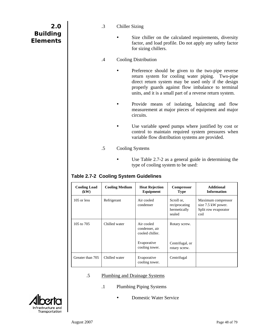| 2.0             |  |
|-----------------|--|
| <b>Building</b> |  |
| <b>Elements</b> |  |

- .3 Chiller Sizing
	- Size chiller on the calculated requirements, diversity factor, and load profile. Do not apply any safety factor for sizing chillers.

### .4 Cooling Distribution

- Preference should be given to the two-pipe reverse return system for cooling water piping. Two-pipe direct return system may be used only if the design properly guards against flow imbalance to terminal units, and it is a small part of a reverse return system.
- Provide means of isolating, balancing and flow measurement at major pieces of equipment and major circuits.
- Use variable speed pumps where justified by cost or control to maintain required system pressures when variable flow distribution systems are provided.
- .5 Cooling Systems
	- Use Table  $2.7-2$  as a general guide in determining the type of cooling system to be used:

### **Table 2.7-2 Cooling System Guidelines**

| <b>Cooling Load</b><br>(kW) | <b>Cooling Medium</b> | <b>Heat Rejection</b><br>Equipment              | Compressor<br><b>Type</b>                             | <b>Additional</b><br><b>Information</b>                                  |
|-----------------------------|-----------------------|-------------------------------------------------|-------------------------------------------------------|--------------------------------------------------------------------------|
| $105$ or less               | Refrigerant           | Air cooled<br>condenser                         | Scroll or,<br>reciprocating<br>hermetically<br>sealed | Maximum compressor<br>size 7.5 kW power.<br>Split row evaporator<br>coil |
| 105 to 705                  | Chilled water         | Air cooled<br>condenser, air<br>cooled chiller. | Rotary screw.                                         |                                                                          |
|                             |                       | Evaporative<br>cooling tower.                   | Centrifugal, or<br>rotary screw.                      |                                                                          |
| Greater than 705            | Chilled water         | Evaporative<br>cooling tower.                   | Centrifugal                                           |                                                                          |

#### .5 Plumbing and Drainage Systems

- .1 Plumbing Piping Systems
	- Domestic Water Service

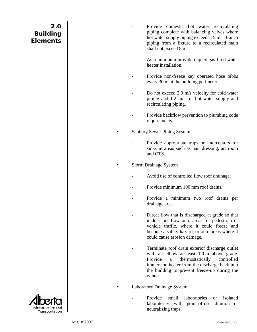- Provide domestic hot water recirculating piping complete with balancing valves where hot water supply piping exceeds 15 m. Branch piping from a fixture to a recirculated main shall not exceed 8 m.
- As a minimum provide duplex gas fired water heater installation.
- Provide non-freeze key operated hose bibbs every 30 m at the building perimeter.
- Do not exceed 2.0 m/s velocity for cold water piping and 1.2 m/s for hot water supply and recirculating piping.
- Provide backflow prevention to plumbing code requirements.
- Sanitary Sewer Piping System
	- Provide appropriate traps or interceptors for sinks in areas such as hair dressing, art room and CTS.
- Storm Drainage System
	- Avoid use of controlled flow roof drainage.
	- Provide minimum 100 mm roof drains.
	- Provide a minimum two roof drains per drainage area.
	- Direct flow that is discharged at grade so that it does not flow onto areas for pedestrian or vehicle traffic, where it could freeze and become a safety hazard, or onto areas where it could cause erosion damage.
	- Terminate roof drain exterior discharge outlet with an elbow at least 1.0 m above grade. Provide a thermostatically controlled immersion heater from the discharge back into the building to prevent freeze-up during the winter.

Laboratory Drainage System

Provide small laboratories or isolated laboratories with point-of-use dilution or neutralizing traps.

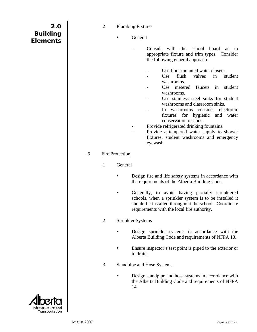| 2.0<br><b>Building</b><br><b>Elements</b> |    | $\cdot$ .2 | <b>Plumbing Fixtures</b>          | General<br>Consult<br>with<br>the<br>school<br>board<br>as<br>to<br>appropriate fixture and trim types. Consider<br>the following general approach:<br>Use floor mounted water closets.<br>flush<br>in<br>Use<br>valves<br>student<br>washrooms.<br>Use<br>metered<br>faucets<br>in<br>student<br>washrooms.<br>Use stainless steel sinks for student<br>washrooms and classroom sinks.<br>washrooms consider electronic<br>In<br>fixtures for hygienic<br>and<br>water<br>conservation reasons.<br>Provide refrigerated drinking fountains.<br>Provide a tempered water supply to shower<br>fixtures, student washrooms and emergency |
|-------------------------------------------|----|------------|-----------------------------------|----------------------------------------------------------------------------------------------------------------------------------------------------------------------------------------------------------------------------------------------------------------------------------------------------------------------------------------------------------------------------------------------------------------------------------------------------------------------------------------------------------------------------------------------------------------------------------------------------------------------------------------|
|                                           |    |            |                                   | eyewash.                                                                                                                                                                                                                                                                                                                                                                                                                                                                                                                                                                                                                               |
|                                           | .6 | $\cdot$    | <b>Fire Protection</b><br>General |                                                                                                                                                                                                                                                                                                                                                                                                                                                                                                                                                                                                                                        |
|                                           |    |            |                                   | Design fire and life safety systems in accordance with<br>the requirements of the Alberta Building Code.<br>Generally, to avoid having partially sprinklered<br>schools, when a sprinkler system is to be installed it<br>should be installed throughout the school. Coordinate<br>requirements with the local fire authority.                                                                                                                                                                                                                                                                                                         |
|                                           |    | $\cdot$ .2 | Sprinkler Systems                 |                                                                                                                                                                                                                                                                                                                                                                                                                                                                                                                                                                                                                                        |
|                                           |    |            |                                   | Design sprinkler systems in accordance with the<br>Alberta Building Code and requirements of NFPA 13.                                                                                                                                                                                                                                                                                                                                                                                                                                                                                                                                  |
|                                           |    |            |                                   | Ensure inspector's test point is piped to the exterior or<br>to drain.                                                                                                                                                                                                                                                                                                                                                                                                                                                                                                                                                                 |
|                                           |    | $\cdot$ 3  |                                   | Standpipe and Hose Systems                                                                                                                                                                                                                                                                                                                                                                                                                                                                                                                                                                                                             |
|                                           |    |            | 14.                               | Design standpipe and hose systems in accordance with<br>the Alberta Building Code and requirements of NFPA                                                                                                                                                                                                                                                                                                                                                                                                                                                                                                                             |
| <u>Fransportation</u>                     |    |            |                                   |                                                                                                                                                                                                                                                                                                                                                                                                                                                                                                                                                                                                                                        |

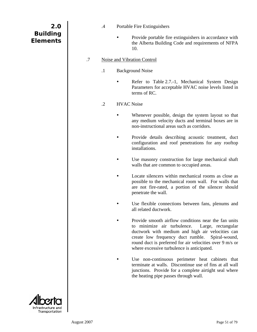| 2.0<br><b>Building</b><br><b>Elements</b> |    | $.4\,$  | 10.                     | Portable Fire Extinguishers<br>Provide portable fire extinguishers in accordance with<br>the Alberta Building Code and requirements of NFPA                                                                                                                                                                                   |
|-------------------------------------------|----|---------|-------------------------|-------------------------------------------------------------------------------------------------------------------------------------------------------------------------------------------------------------------------------------------------------------------------------------------------------------------------------|
|                                           | .7 |         |                         | <b>Noise and Vibration Control</b>                                                                                                                                                                                                                                                                                            |
|                                           |    | $\cdot$ | <b>Background Noise</b> |                                                                                                                                                                                                                                                                                                                               |
|                                           |    |         |                         | Refer to Table 2.7.-1, Mechanical System Design<br>Parameters for acceptable HVAC noise levels listed in<br>terms of RC.                                                                                                                                                                                                      |
|                                           |    | $\cdot$ | <b>HVAC</b> Noise       |                                                                                                                                                                                                                                                                                                                               |
|                                           |    |         |                         | Whenever possible, design the system layout so that<br>any medium velocity ducts and terminal boxes are in<br>non-instructional areas such as corridors.                                                                                                                                                                      |
|                                           |    |         |                         | Provide details describing acoustic treatment, duct<br>configuration and roof penetrations for any rooftop<br>installations.                                                                                                                                                                                                  |
|                                           |    |         |                         | Use masonry construction for large mechanical shaft<br>walls that are common to occupied areas.                                                                                                                                                                                                                               |
|                                           |    |         |                         | Locate silencers within mechanical rooms as close as<br>possible to the mechanical room wall. For walls that<br>are not fire-rated, a portion of the silencer should<br>penetrate the wall.                                                                                                                                   |
|                                           |    |         |                         | Use flexible connections between fans, plenums and<br>all related ductwork.                                                                                                                                                                                                                                                   |
|                                           |    |         |                         | Provide smooth airflow conditions near the fan units<br>to minimize air turbulence.<br>Large, rectangular<br>ductwork with medium and high air velocities can<br>create low frequency duct rumble.<br>Spiral-wound,<br>round duct is preferred for air velocities over 9 m/s or<br>where excessive turbulence is anticipated. |
|                                           |    |         |                         | Use non-continuous perimeter heat cabinets that<br>terminate at walls. Discontinue use of fins at all wall<br>junctions. Provide for a complete airtight seal where<br>the heating pipe passes through wall.                                                                                                                  |
|                                           |    |         |                         |                                                                                                                                                                                                                                                                                                                               |



I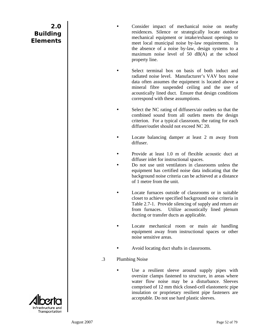Consider impact of mechanical noise on nearby residences. Silence or strategically locate outdoor mechanical equipment or intake/exhaust openings to meet local municipal noise by-law requirements. In the absence of a noise by-law, design systems to a maximum noise level of 50 dB(A) at the school property line.

Select terminal box on basis of both induct and radiated noise level. Manufacturer's VAV box noise data often assumes the equipment is located above a mineral fibre suspended ceiling and the use of acoustically lined duct. Ensure that design conditions correspond with these assumptions.

- Select the NC rating of diffusers/air outlets so that the combined sound from all outlets meets the design criterion. For a typical classroom, the rating for each diffuser/outlet should not exceed NC 20.
- Locate balancing damper at least  $2 \text{ m}$  away from diffuser.
- Provide at least 1.0 m of flexible acoustic duct at diffuser inlet for instructional spaces.
- Do not use unit ventilators in classrooms unless the equipment has certified noise data indicating that the background noise criteria can be achieved at a distance of 1 metre from the unit.
- Locate furnaces outside of classrooms or in suitable closet to achieve specified background noise criteria in Table 2.7-1. Provide silencing of supply and return air from furnaces. Utilize acoustically lined plenum ducting or transfer ducts as applicable.
- Locate mechanical room or main air handling equipment away from instructional spaces or other noise sensitive areas.
- Avoid locating duct shafts in classrooms.
- .3 Plumbing Noise
	- Use a resilient sleeve around supply pipes with oversize clamps fastened to structure, in areas where water flow noise may be a disturbance. Sleeves comprised of 12 mm thick closed-cell elastomeric pipe insulation or proprietary resilient pipe fasteners are acceptable. Do not use hard plastic sleeves.

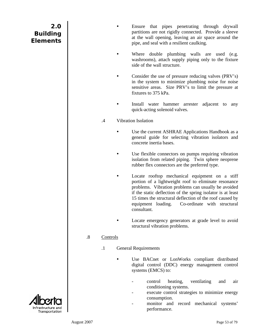- Ensure that pipes penetrating through drywall partitions are not rigidly connected. Provide a sleeve at the wall opening, leaving an air space around the pipe, and seal with a resilient caulking.
- Where double plumbing walls are used (e.g. washrooms), attach supply piping only to the fixture side of the wall structure.
- Consider the use of pressure reducing valves (PRV's) in the system to minimize plumbing noise for noise sensitive areas. Size PRV's to limit the pressure at fixtures to 375 kPa.
- Install water hammer arrester adjacent to any quick-acting solenoid valves.
- .4 Vibration Isolation
	- Use the current ASHRAE Applications Handbook as a general guide for selecting vibration isolators and concrete inertia bases.
	- Use flexible connectors on pumps requiring vibration isolation from related piping. Twin sphere neoprene rubber flex connectors are the preferred type.
		- Locate rooftop mechanical equipment on a stiff portion of a lightweight roof to eliminate resonance problems. Vibration problems can usually be avoided if the static deflection of the spring isolator is at least 15 times the structural deflection of the roof caused by equipment loading. Co-ordinate with structural consultant.
	- Locate emergency generators at grade level to avoid structural vibration problems.

#### .8 Controls

- .1 General Requirements
	- Use BACnet or LonWorks compliant distributed digital control (DDC) energy management control systems (EMCS) to:
		- control heating, ventilating and air conditioning systems.
		- execute control strategies to minimize energy consumption.
		- monitor and record mechanical systems' performance.

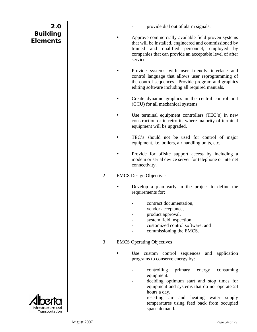- provide dial out of alarm signals.
- Approve commercially available field proven systems that will be installed, engineered and commissioned by trained and qualified personnel, employed by companies that can provide an acceptable level of after service.
- Provide systems with user friendly interface and control language that allows user reprogramming of the control sequences. Provide program and graphics editing software including all required manuals.
- Create dynamic graphics in the central control unit (CCU) for all mechanical systems.
- Use terminal equipment controllers (TEC's) in new construction or in retrofits where majority of terminal equipment will be upgraded.
- TEC's should not be used for control of major equipment, i.e. boilers, air handling units, etc.
- Provide for offsite support access by including a modem or serial device server for telephone or internet connectivity.

#### .2 EMCS Design Objectives

- Develop a plan early in the project to define the requirements for:
	- contract documentation,
	- vendor acceptance,
	- product approval,
	- system field inspection,
	- customized control software, and
	- commissioning the EMCS.

#### .3 EMCS Operating Objectives

- Use custom control sequences and application programs to conserve energy by:
	- controlling primary energy consuming equipment.
	- deciding optimum start and stop times for equipment and systems that do not operate 24 hours a day.
	- resetting air and heating water supply temperatures using feed back from occupied space demand.



**2.0**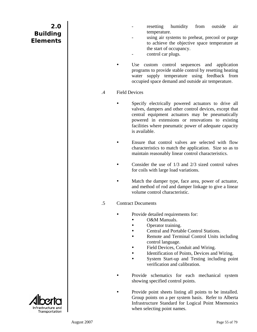- resetting humidity from outside air temperature.
- using air systems to preheat, precool or purge to achieve the objective space temperature at the start of occupancy.
- control car plugs.
- Use custom control sequences and application programs to provide stable control by resetting heating water supply temperature using feedback from occupied space demand and outside air temperature.
- .4 Field Devices
	- Specify electrically powered actuators to drive all valves, dampers and other control devices, except that central equipment actuators may be pneumatically powered in extensions or renovations to existing facilities where pneumatic power of adequate capacity is available.
	- Ensure that control valves are selected with flow characteristics to match the application. Size so as to maintain reasonably linear control characteristics.
	- Consider the use of  $1/3$  and  $2/3$  sized control valves for coils with large load variations.
	- Match the damper type, face area, power of actuator, and method of rod and damper linkage to give a linear volume control characteristic.
- .5 Contract Documents
	- Provide detailed requirements for:
		- O&M Manuals.
		- Operator training.
		- Central and Portable Control Stations.
		- Remote and Terminal Control Units including control language.
		- Field Devices, Conduit and Wiring.
		- Identification of Points, Devices and Wiring.
		- System Start-up and Testing including point verification and calibration.
		- Provide schematics for each mechanical system showing specified control points.
			- Provide point sheets listing all points to be installed. Group points on a per system basis. Refer to Alberta Infrastructure Standard for Logical Point Mnemonics when selecting point names.

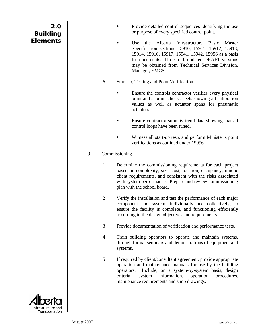| 2.0<br><b>Building</b><br><b>Elements</b> |    |            | Provide detailed control sequences identifying the use<br>or purpose of every specified control point.                                                                                                                                                                                                       |
|-------------------------------------------|----|------------|--------------------------------------------------------------------------------------------------------------------------------------------------------------------------------------------------------------------------------------------------------------------------------------------------------------|
|                                           |    |            | Infrastructure<br>the<br>Alberta<br>Use<br><b>Basic</b><br>Master<br>Specification sections 15910, 15911, 15912, 15913,<br>15914, 15916, 15917, 15941, 15942, 15956 as a basis<br>for documents. If desired, updated DRAFT versions<br>may be obtained from Technical Services Division,<br>Manager, EMCS.   |
|                                           |    | .6         | Start-up, Testing and Point Verification                                                                                                                                                                                                                                                                     |
|                                           |    |            | Ensure the controls contractor verifies every physical<br>point and submits check sheets showing all calibration<br>values as well as actuator spans for pneumatic<br>actuators.                                                                                                                             |
|                                           |    |            | Ensure contractor submits trend data showing that all<br>control loops have been tuned.                                                                                                                                                                                                                      |
|                                           |    |            | Witness all start-up tests and perform Minister's point<br>verifications as outlined under 15956.                                                                                                                                                                                                            |
|                                           | .9 |            | Commissioning                                                                                                                                                                                                                                                                                                |
|                                           |    | $\cdot$    | Determine the commissioning requirements for each project<br>based on complexity, size, cost, location, occupancy, unique<br>client requirements, and consistent with the risks associated<br>with system performance. Prepare and review commissioning<br>plan with the school board.                       |
|                                           |    | $\cdot$ .2 | Verify the installation and test the performance of each major<br>component and system, individually and collectively, to<br>ensure the facility is complete, and functioning efficiently<br>according to the design objectives and requirements.                                                            |
|                                           |    | $\cdot$ 3  | Provide documentation of verification and performance tests.                                                                                                                                                                                                                                                 |
|                                           |    | $\cdot$ 4  | Train building operators to operate and maintain systems,<br>through formal seminars and demonstrations of equipment and<br>systems.                                                                                                                                                                         |
|                                           |    | $.5\,$     | If required by client/consultant agreement, provide appropriate<br>operation and maintenance manuals for use by the building<br>Include, on a system-by-system basis, design<br>operators.<br>information,<br>operation<br>criteria,<br>procedures,<br>system<br>maintenance requirements and shop drawings. |
| Intrastructure and<br>Transportation      |    |            |                                                                                                                                                                                                                                                                                                              |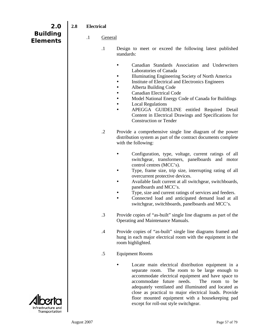| 2.0                                | 2.8 | <b>Electrical</b> |                |                                                                                                                                                                                                                                                                                                                                                                                                                                                                               |
|------------------------------------|-----|-------------------|----------------|-------------------------------------------------------------------------------------------------------------------------------------------------------------------------------------------------------------------------------------------------------------------------------------------------------------------------------------------------------------------------------------------------------------------------------------------------------------------------------|
| <b>Building</b><br><b>Elements</b> |     | $\cdot$           | <b>General</b> |                                                                                                                                                                                                                                                                                                                                                                                                                                                                               |
|                                    |     |                   | $\cdot$ 1      | Design to meet or exceed the following latest published<br>standards:                                                                                                                                                                                                                                                                                                                                                                                                         |
|                                    |     |                   |                | Canadian Standards Association and Underwriters<br>Laboratories of Canada<br>Illuminating Engineering Society of North America<br>Institute of Electrical and Electronics Engineers<br>Alberta Building Code<br><b>Canadian Electrical Code</b><br>Model National Energy Code of Canada for Buildings<br><b>Local Regulations</b><br>٠<br>APEGGA GUIDELINE entitled Required Detail<br>Content in Electrical Drawings and Specifications for<br><b>Construction or Tender</b> |
|                                    |     |                   | $\cdot$ .2     | Provide a comprehensive single line diagram of the power<br>distribution system as part of the contract documents complete<br>with the following:                                                                                                                                                                                                                                                                                                                             |
|                                    |     |                   |                | Configuration, type, voltage, current ratings of all<br>switchgear, transformers, panelboards and motor<br>control centres (MCC's).<br>Type, frame size, trip size, interrupting rating of all<br>overcurrent protective devices.                                                                                                                                                                                                                                             |
|                                    |     |                   |                | Available fault current at all switchgear, switchboards,<br>panelboards and MCC's.<br>Type, size and current ratings of services and feeders.<br>Connected load and anticipated demand load at all<br>switchgear, switchboards, panelboards and MCC's.                                                                                                                                                                                                                        |
|                                    |     |                   | $\cdot$ 3      | Provide copies of "as-built" single line diagrams as part of the<br>Operating and Maintenance Manuals.                                                                                                                                                                                                                                                                                                                                                                        |
|                                    |     |                   | $.4\,$         | Provide copies of "as-built" single line diagrams framed and<br>hung in each major electrical room with the equipment in the<br>room highlighted.                                                                                                                                                                                                                                                                                                                             |
|                                    |     |                   | .5             | <b>Equipment Rooms</b>                                                                                                                                                                                                                                                                                                                                                                                                                                                        |
|                                    |     |                   |                | Locate main electrical distribution equipment in a<br>The room to be large enough to<br>separate room.<br>accommodate electrical equipment and have space to<br>accommodate future needs.<br>The room to be<br>adequately ventilated and illuminated and located as<br>close as practical to major electrical loads. Provide<br>floor mounted equipment with a housekeeping pad<br>except for roll-out style switchgear.                                                      |

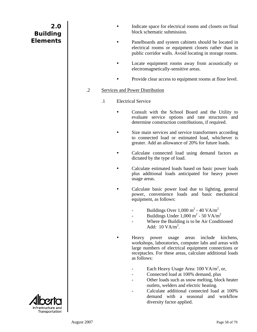- Indicate space for electrical rooms and closets on final block schematic submission.
- Panelboards and system cabinets should be located in electrical rooms or equipment closets rather than in public corridor walls. Avoid locating in storage rooms.
- Locate equipment rooms away from acoustically or electromagnetically-sensitive areas.
- Provide clear access to equipment rooms at floor level.

#### .2 Services and Power Distribution

- .1 Electrical Service
	- Consult with the School Board and the Utility to evaluate service options and rate structures and determine construction contributions, if required.
	- Size main services and service transformers according to connected load or estimated load, whichever is greater. Add an allowance of 20% for future loads.
	- Calculate connected load using demand factors as dictated by the type of load.
	- Calculate estimated loads based on basic power loads plus additional loads anticipated for heavy power usage areas.
	- Calculate basic power load due to lighting, general power, convenience loads and basic mechanical equipment, as follows:
		- Buildings Over  $1,000 \text{ m}^2$   $40 \text{ VA/m}^2$
		- Buildings Under  $1,000 \text{ m}^2$  50 VA/m<sup>2</sup>
		- Where the Building is to be Air Conditioned Add:  $10 \text{ VA/m}^2$ .

Heavy power usage areas include kitchens, workshops, laboratories, computer labs and areas with large numbers of electrical equipment connections or receptacles. For these areas, calculate additional loads as follows:

- Each Heavy Usage Area:  $100 \text{ VA/m}^2$ , or,
- Connected load at 100% demand, plus
- Other loads such as snow melting, block heater outlets, welders and electric heating.
- Calculate additional connected load at 100% demand with a seasonal and workflow diversity factor applied.

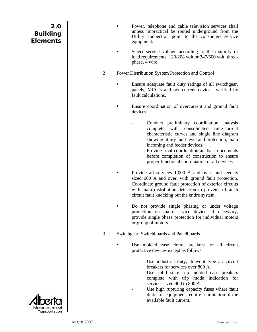| 2.0<br><b>Building</b><br><b>Elements</b> |            | Power, telephone and cable television services shall<br>unless impractical be routed underground from the<br>Utility connection point to the consumers service<br>equipment.                                                                                                                                                                                                |
|-------------------------------------------|------------|-----------------------------------------------------------------------------------------------------------------------------------------------------------------------------------------------------------------------------------------------------------------------------------------------------------------------------------------------------------------------------|
|                                           |            | Select service voltage according to the majority of<br>load requirements, 120/208 volt or 347/600 volt, three-<br>phase, 4 wire.                                                                                                                                                                                                                                            |
|                                           | $\cdot$ .2 | Power Distribution System Protection and Control                                                                                                                                                                                                                                                                                                                            |
|                                           |            | Ensure adequate fault duty ratings of all switchgear,<br>panels, MCC's and overcurrent devices, verified by<br>fault calculations.                                                                                                                                                                                                                                          |
|                                           |            | Ensure coordination of overcurrent and ground fault<br>devices:                                                                                                                                                                                                                                                                                                             |
|                                           |            | Conduct preliminary coordination analysis<br>complete with consolidated time-current<br>characteristic curves and single line diagram<br>showing utility fault level and protection, main<br>incoming and feeder devices.<br>Provide final coordination analysis documents<br>before completion of construction to ensure<br>proper functional coordination of all devices. |
|                                           |            | Provide all services 1,000 A and over, and feeders<br>sized 600 A and over, with ground fault protection.<br>Coordinate ground fault protection of exterior circuits<br>with main distribution detection to prevent a branch<br>circuit fault knocking out the entire system.                                                                                               |
|                                           |            | Do not provide single phasing or under voltage<br>protection on main service device. If necessary,<br>provide single phase protection for individual motors<br>or group of motors.                                                                                                                                                                                          |
|                                           | $\cdot$ 3  | Switchgear, Switchboards and Panelboards                                                                                                                                                                                                                                                                                                                                    |
|                                           |            | Use molded case circuit breakers for all circuit<br>protective devices except as follows:                                                                                                                                                                                                                                                                                   |
| Intrastructure and                        |            | Use industrial duty, drawout type air circuit<br>breakers for services over 800 A.<br>Use solid state trip molded case breakers<br>complete with trip mode indication for<br>services sized 400 to 800 A.<br>Use high rupturing capacity fuses where fault<br>duties of equipment require a limitation of the<br>available fault current.                                   |

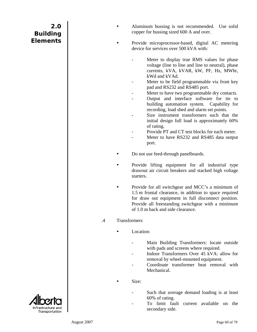| 2.0<br><b>Building</b> |                 |              |           | Aluminum bussing<br>copper for bussing                                                                     |
|------------------------|-----------------|--------------|-----------|------------------------------------------------------------------------------------------------------------|
| <b>Elements</b>        |                 |              |           | Provide micropro<br>device for services                                                                    |
|                        |                 |              |           | Meter to c<br>voltage (lin<br>currents, k<br>kWd and k                                                     |
|                        |                 |              |           | Meter to b<br>pad and RS                                                                                   |
|                        |                 |              |           | Meter to ha                                                                                                |
|                        |                 |              |           | Output an<br>building a<br>recording,                                                                      |
|                        |                 |              |           | Size instru<br>initial desi                                                                                |
|                        |                 |              |           | of rating.                                                                                                 |
|                        |                 |              |           | Provide PT                                                                                                 |
|                        |                 |              |           | Meter to h<br>port.                                                                                        |
|                        |                 |              |           | Do not use feed-thi                                                                                        |
|                        |                 |              | starters. | Provide lifting e<br>drawout air circuit                                                                   |
|                        |                 |              |           | Provide for all sw<br>1.5 m frontal clear<br>for draw out equi<br>Provide all freesta<br>of 1.0 m back and |
|                        | $.4\phantom{0}$ | Transformers |           |                                                                                                            |
|                        |                 |              | Location: |                                                                                                            |
|                        |                 |              |           | Main Buil<br>with pads a                                                                                   |
|                        |                 |              |           | Indoor Tra<br>removal by                                                                                   |
|                        |                 |              |           | Coordinate<br>Mechanica                                                                                    |
|                        |                 |              | Size:     |                                                                                                            |
|                        |                 |              |           | Such that<br>60% of rati                                                                                   |
| Infrastructure and     |                 |              |           | limit<br>To<br>secondary                                                                                   |
| Transportation         |                 |              |           |                                                                                                            |

 $\mathbf{I}$ 

g is not recommended. Use solid sized 600 A and over.

cessor-based, digital AC metering over 500 kVA with:

- display true RMS values for phase ne to line and line to neutral), phase cVA, kVAR, kW, PF, Hz, MWhr, .VAd.
- e field programmable via front key S232 and RS485 port.
- ave two programmable dry contacts.
- d interface software for tie to utomation system. Capability for load shed and alarm set points.
- ument transformers such that the ign full load is approximately 60%
- I and CT test blocks for each meter.
- ave RS232 and RS485 data output
- rough panelboards.
- equipment for all industrial type t breakers and stacked high voltage
- itchgear and MCC's a minimum of rance, in addition to space required ipment in full disconnect position. ending switchgear with a minimum side clearance.
	- lding Transformers: locate outside and screens where required.
	- unsformers Over 45 kVA: allow for  $\gamma$  wheel-mounted equipment.
	- transformer heat removal with  $d$ .
	- average demand loading is at least ing.
	- fault current available on the side.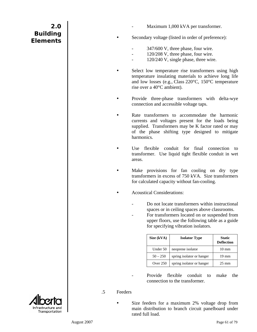Maximum 1,000 kVA per transformer.

Secondary voltage (listed in order of preference):

- 347/600 V, three phase, four wire.
- 120/208 V, three phase, four wire.
- 120/240 V, single phase, three wire.
- Select low temperature rise transformers using high temperature insulating materials to achieve long life and low losses (e.g., Class 220°C, 150°C temperature rise over a 40°C ambient).
- Provide three-phase transformers with delta-wye connection and accessible voltage taps.
- Rate transformers to accommodate the harmonic currents and voltages present for the loads being supplied. Transformers may be K factor rated or may of the phase shifting type designed to mitigate harmonics.
- Use flexible conduit for final connection to transformer. Use liquid tight flexible conduit in wet areas.
- Make provisions for fan cooling on dry type transformers in excess of 750 kVA. Size transformers for calculated capacity without fan-cooling.
- Acoustical Considerations:
	- Do not locate transformers within instructional spaces or in ceiling spaces above classrooms.
	- For transformers located on or suspended from upper floors, use the following table as a guide for specifying vibration isolators.

| Size (kVA) | <b>Isolator Type</b>      | <b>Static</b><br><b>Deflection</b> |
|------------|---------------------------|------------------------------------|
| Under 50   | neoprene isolator         | $10 \text{ mm}$                    |
| $50 - 250$ | spring isolator or hanger | $19 \text{ mm}$                    |
| Over 250   | spring isolator or hanger | $25 \text{ mm}$                    |

- Provide flexible conduit to make the connection to the transformer.
- .5 Feeders
	- Size feeders for a maximum 2% voltage drop from main distribution to branch circuit panelboard under rated full load.

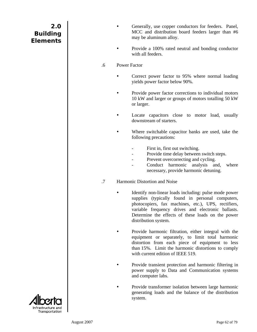| 2.0             |  |
|-----------------|--|
| <b>Building</b> |  |
| <b>Elements</b> |  |

- Generally, use copper conductors for feeders. Panel, MCC and distribution board feeders larger than #6 may be aluminum alloy.
- Provide a 100% rated neutral and bonding conductor with all feeders.
- .6 Power Factor
	- Correct power factor to 95% where normal loading yields power factor below 90%.
	- Provide power factor corrections to individual motors 10 kW and larger or groups of motors totalling 50 kW or larger.
	- Locate capacitors close to motor load, usually downstream of starters.
	- Where switchable capacitor banks are used, take the following precautions:
		- First in, first out switching.
		- Provide time delay between switch steps.
		- Prevent overcorrecting and cycling.
		- Conduct harmonic analysis and, where necessary, provide harmonic detuning.
- .7 Harmonic Distortion and Noise
	- Identify non-linear loads including: pulse mode power supplies (typically found in personal computers, photocopiers, fax machines, etc.), UPS, rectifiers, variable frequency drives and electronic ballasts. Determine the effects of these loads on the power distribution system.
		- Provide harmonic filtration, either integral with the equipment or separately, to limit total harmonic distortion from each piece of equipment to less than 15%. Limit the harmonic distortions to comply with current edition of IEEE 519.
	- Provide transient protection and harmonic filtering in power supply to Data and Communication systems and computer labs.
	- Provide transformer isolation between large harmonic generating loads and the balance of the distribution system.

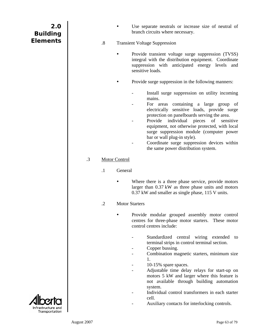| 2.0<br><b>Building</b><br><b>Elements</b> |           | $\cdot$ 8 |                       | Use separate neutrals or increase size of neutral of<br>branch circuits where necessary.<br><b>Transient Voltage Suppression</b>                                                                                                                                                                                                                                                                                                                                        |
|-------------------------------------------|-----------|-----------|-----------------------|-------------------------------------------------------------------------------------------------------------------------------------------------------------------------------------------------------------------------------------------------------------------------------------------------------------------------------------------------------------------------------------------------------------------------------------------------------------------------|
|                                           |           |           |                       | Provide transient voltage surge suppression (TVSS)<br>integral with the distribution equipment. Coordinate<br>suppression with anticipated energy levels and<br>sensitive loads.                                                                                                                                                                                                                                                                                        |
|                                           |           |           |                       | Provide surge suppression in the following manners:                                                                                                                                                                                                                                                                                                                                                                                                                     |
|                                           |           |           |                       | Install surge suppression on utility incoming<br>mains.<br>For areas containing a large group of<br>electrically sensitive loads, provide surge<br>protection on panelboards serving the area.<br>Provide<br>individual<br>pieces<br>of<br>sensitive<br>equipment, not otherwise protected, with local<br>surge suppression module (computer power<br>bar or wall plug-in style).<br>Coordinate surge suppression devices within<br>the same power distribution system. |
|                                           | $\cdot$ 3 |           | <b>Motor Control</b>  |                                                                                                                                                                                                                                                                                                                                                                                                                                                                         |
|                                           |           | $\cdot$ 1 | General               |                                                                                                                                                                                                                                                                                                                                                                                                                                                                         |
|                                           |           |           |                       | Where there is a three phase service, provide motors<br>larger than 0.37 kW as three phase units and motors<br>0.37 kW and smaller as single phase, 115 V units.                                                                                                                                                                                                                                                                                                        |
|                                           |           | $\cdot$ 2 | <b>Motor Starters</b> |                                                                                                                                                                                                                                                                                                                                                                                                                                                                         |
|                                           |           |           |                       | Provide modular grouped assembly motor control<br>centres for three-phase motor starters. These motor<br>control centres include:                                                                                                                                                                                                                                                                                                                                       |
|                                           |           |           |                       | Standardized central wiring extended<br>to<br>terminal strips in control terminal section.<br>Copper bussing.<br>Combination magnetic starters, minimum size<br>1.<br>10-15% spare spaces.<br>Adjustable time delay relays for start-up on<br>motors 5 kW and larger where this feature is<br>not available through building automation<br>system.<br>Individual control transformers in each starter<br>cell.<br>Auxiliary contacts for interlocking controls.         |
| Transportation                            |           |           |                       |                                                                                                                                                                                                                                                                                                                                                                                                                                                                         |

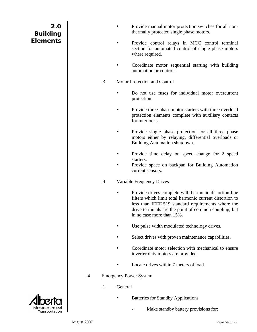| 2.0             |
|-----------------|
| <b>Building</b> |
| <b>Elements</b> |

- Provide manual motor protection switches for all nonthermally protected single phase motors.
- Provide control relays in MCC control terminal section for automated control of single phase motors where required.
- Coordinate motor sequential starting with building automation or controls.
- .3 Motor Protection and Control
	- Do not use fuses for individual motor overcurrent protection.
	- Provide three-phase motor starters with three overload protection elements complete with auxiliary contacts for interlocks.
	- Provide single phase protection for all three phase motors either by relaying, differential overloads or Building Automation shutdown.
	- Provide time delay on speed change for 2 speed starters.
	- Provide space on backpan for Building Automation current sensors.

#### .4 Variable Frequency Drives

- Provide drives complete with harmonic distortion line filters which limit total harmonic current distortion to less than IEEE 519 standard requirements where the drive terminals are the point of common coupling, but in no case more than 15%.
- Use pulse width modulated technology drives.
- Select drives with proven maintenance capabilities.
- Coordinate motor selection with mechanical to ensure inverter duty motors are provided.
- Locate drives within 7 meters of load.
- .4 Emergency Power System
	- .1 General
		- Batteries for Standby Applications
			- Make standby battery provisions for:

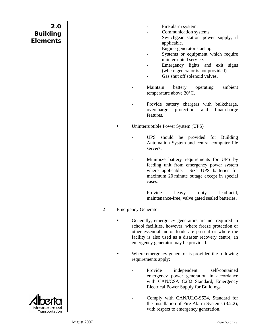- Fire alarm system.
- Communication systems.
- Switchgear station power supply, if applicable.
- Engine-generator start-up.
- Systems or equipment which require uninterrupted service.
- Emergency lights and exit signs (where generator is not provided).
- Gas shut off solenoid valves.
- Maintain battery operating ambient temperature above 20°C.
- Provide battery chargers with bulkcharge, overcharge protection and float-charge features.

Uninterruptible Power System (UPS)

- UPS should be provided for Building Automation System and central computer file servers.
- Minimize battery requirements for UPS by feeding unit from emergency power system where applicable. Size UPS batteries for maximum 20 minute outage except in special cases.
- Provide heavy duty lead-acid, maintenance-free, valve gated sealed batteries.
- .2 Emergency Generator
	- Generally, emergency generators are not required in school facilities, however, where freeze protection or other essential motor loads are present or where the facility is also used as a disaster recovery centre, an emergency generator may be provided.
		- Where emergency generator is provided the following requirements apply:
			- Provide independent, self-contained emergency power generation in accordance with CAN/CSA C282 Standard, Emergency Electrical Power Supply for Buildings.
			- Comply with CAN/ULC-S524, Standard for the Installation of Fire Alarm Systems (3.2.2), with respect to emergency generation.

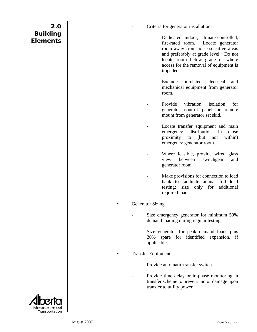- Criteria for generator installation:
	- Dedicated indoor, climate-controlled, fire-rated room. Locate generator room away from noise-sensitive areas and preferably at grade level. Do not locate room below grade or where access for the removal of equipment is impeded.
	- Exclude unrelated electrical and mechanical equipment from generator room.
	- Provide vibration isolation for generator control panel or remote mount from generator set skid.
	- Locate transfer equipment and main emergency distribution in close proximity to (but not within) emergency generator room.
	- Where feasible, provide wired glass view between switchgear and generator room.
		- Make provisions for connection to load bank to facilitate annual full load testing; size only for additional required load.

#### **Generator Sizing**

- Size emergency generator for minimum 50% demand loading during regular testing.
- Size generator for peak demand loads plus 20% spare for identified expansion, if applicable.

#### **Transfer Equipment**

- Provide automatic transfer switch
- Provide time delay or in-phase monitoring in transfer scheme to prevent motor damage upon transfer to utility power.

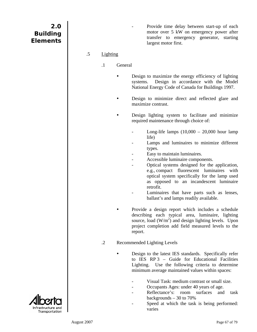Provide time delay between start-up of each motor over 5 kW on emergency power after transfer to emergency generator, starting largest motor first.

#### .5 Lighting

- .1 General
	- Design to maximize the energy efficiency of lighting systems. Design in accordance with the Model National Energy Code of Canada for Buildings 1997.
	- Design to minimize direct and reflected glare and maximize contrast.
	- Design lighting system to facilitate and minimize required maintenance through choice of:
		- Long-life lamps  $(10,000 20,000$  hour lamp life)
		- Lamps and luminaires to minimize different types.
		- Easy to maintain luminaires.
		- Accessible luminaire components.
		- Optical systems designed for the application, e.g., compact fluorescent luminaires with optical system specifically for the lamp used as opposed to an incandescent luminaire retrofit.
		- Luminaires that have parts such as lenses, ballast's and lamps readily available.
		- Provide a design report which includes a schedule describing each typical area, luminaire, lighting source, load  $(W/m^2)$  and design lighting levels. Upon project completion add field measured levels to the report.

#### .2 Recommended Lighting Levels

- Design to the latest IES standards. Specifically refer to IES RP 3 – Guide for Educational Facilities Lighting. Use the following criteria to determine minimum average maintained values within spaces:
	- Visual Task: medium contrast or small size.
	- Occupants Ages: under 40 years of age.
	- Reflectance's: room surfaces and task backgrounds – 30 to 70%
	- Speed at which the task is being performed: varies

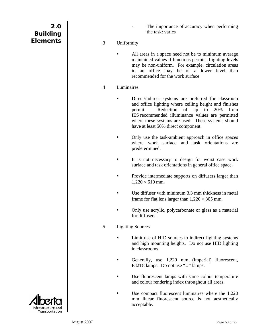| 2.0             |  |
|-----------------|--|
| <b>Building</b> |  |
| <b>Elements</b> |  |

- The importance of accuracy when performing the task: varies
- .3 Uniformity
	- All areas in a space need not be to minimum average maintained values if functions permit. Lighting levels may be non-uniform. For example, circulation areas in an office may be of a lower level than recommended for the work surface.
- .4 Luminaires
	- Direct/indirect systems are preferred for classroom and office lighting where ceiling height and finishes permit. Reduction of up to 20% from IES recommended illuminance values are permitted where these systems are used. These systems should have at least 50% direct component.
	- Only use the task-ambient approach in office spaces where work surface and task orientations are predetermined.
	- It is not necessary to design for worst case work surface and task orientations in general office space.
	- Provide intermediate supports on diffusers larger than  $1,220 \times 610$  mm.
	- Use diffuser with minimum 3.3 mm thickness in metal frame for flat lens larger than  $1,220 \times 305$  mm.
	- Only use acrylic, polycarbonate or glass as a material for diffusers.
- .5 Lighting Sources
	- Limit use of HID sources to indirect lighting systems and high mounting heights. Do not use HID lighting in classrooms.
	- Generally, use 1,220 mm (imperial) fluorescent, F32T8 lamps. Do not use "U" lamps.
	- Use fluorescent lamps with same colour temperature and colour rendering index throughout all areas.
	- Use compact fluorescent luminaires where the 1,220 mm linear fluorescent source is not aesthetically acceptable.

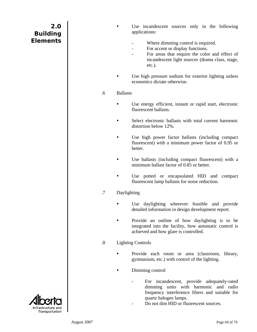| 2.0             |  |
|-----------------|--|
| <b>Building</b> |  |
| <b>Elements</b> |  |

Use incandescent sources only in the following applications:

- Where dimming control is required.
- For accent or display functions.
- For areas that require the color and effect of incandescent light sources (drama class, stage, etc.).
- Use high pressure sodium for exterior lighting unless economics dictate otherwise.
- .6 Ballasts
	- Use energy efficient, instant or rapid start, electronic fluorescent ballasts.
	- Select electronic ballasts with total current harmonic distortion below 12%.
	- Use high power factor ballasts (including compact fluorescent) with a minimum power factor of 0.95 or better.
	- Use ballasts (including compact fluorescent) with a minimum ballast factor of 0.85 or better.
	- Use potted or encapsulated HID and compact fluorescent lamp ballasts for noise reduction.
- .7 Daylighting
	- Use daylighting wherever feasible and provide detailed information in design development report.
	- Provide an outline of how daylighting is to be integrated into the facility, how automatic control is achieved and how glare is controlled.

#### .8 Lighting Controls

- Provide each room or area (classroom, library, gymnasium, etc.) with control of the lighting.
	- Dimming control:
		- For incandescent, provide adequately-rated dimming units with harmonic and radio frequency interference filters and suitable for quartz halogen lamps.
		- Do not dim HID or fluorescent sources.

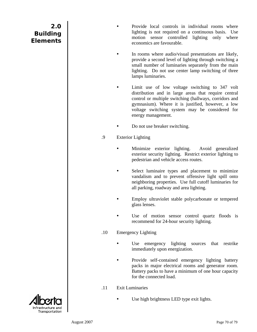- Provide local controls in individual rooms where lighting is not required on a continuous basis. Use motion sensor controlled lighting only where economics are favourable.
- In rooms where audio/visual presentations are likely, provide a second level of lighting through switching a small number of luminaries separately from the main lighting. Do not use center lamp switching of three lamps luminaries.
- Limit use of low voltage switching to 347 volt distribution and in large areas that require central control or multiple switching (hallways, corridors and gymnasium). Where it is justified, however, a low voltage switching system may be considered for energy management.
- Do not use breaker switching.
- .9 Exterior Lighting
	- Minimize exterior lighting. Avoid generalized exterior security lighting. Restrict exterior lighting to pedestrian and vehicle access routes.
	- Select luminaire types and placement to minimize vandalism and to prevent offensive light spill onto neighboring properties. Use full cutoff luminaries for all parking, roadway and area lighting.
	- Employ ultraviolet stable polycarbonate or tempered glass lenses.
	- Use of motion sensor control quartz floods is recommend for 24-hour security lighting.
- .10 Emergency Lighting
	- Use emergency lighting sources that restrike immediately upon energization.
	- Provide self-contained emergency lighting battery packs in major electrical rooms and generator room. Battery packs to have a minimum of one hour capacity for the connected load.
- .11 Exit Luminaries
	- Use high brightness LED type exit lights.

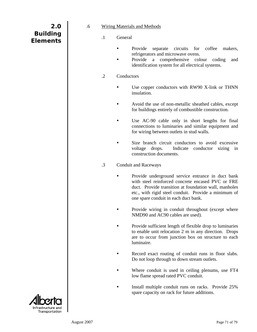| 2.0             |
|-----------------|
| <b>Building</b> |
| <b>Elements</b> |
|                 |

- .6 Wiring Materials and Methods
	- .1 General
		- Provide separate circuits for coffee makers, refrigerators and microwave ovens.
		- Provide a comprehensive colour coding and identification system for all electrical systems.

#### .2 Conductors

- Use copper conductors with RW90 X-link or THNN insulation.
- Avoid the use of non-metallic sheathed cables, except for buildings entirely of combustible construction.
- Use AC-90 cable only in short lengths for final connections to luminaries and similar equipment and for wiring between outlets in stud walls.
- Size branch circuit conductors to avoid excessive voltage drops. Indicate conductor sizing in construction documents.
- .3 Conduit and Raceways
	- Provide underground service entrance in duct bank with steel reinforced concrete encased PVC or FRE duct. Provide transition at foundation wall, manholes etc., with rigid steel conduit. Provide a minimum of one spare conduit in each duct bank.
	- Provide wiring in conduit throughout (except where NMD90 and AC90 cables are used).
	- Provide sufficient length of flexible drop to luminaries to enable unit relocation 2 m in any direction. Drops are to occur from junction box on structure to each luminaire.
	- Record exact routing of conduit runs in floor slabs. Do not loop through to down stream outlets.
	- Where conduit is used in ceiling plenums, use FT4 low flame spread rated PVC conduit.
	- Install multiple conduit runs on racks. Provide 25% spare capacity on rack for future additions.

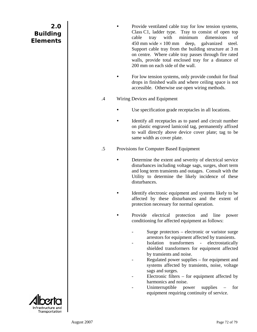- Provide ventilated cable tray for low tension systems, Class C1, ladder type. Tray to consist of open top cable tray with minimum dimensions of 450 mm wide  $\times$  100 mm deep, galvanized steel. Support cable tray from the building structure at 3 m on centre. Where cable tray passes through fire rated walls, provide total enclosed tray for a distance of 200 mm on each side of the wall.
- For low tension systems, only provide conduit for final drops in finished walls and where ceiling space is not accessible. Otherwise use open wiring methods.
- .4 Wiring Devices and Equipment
	- Use specification grade receptacles in all locations.
	- Identify all receptacles as to panel and circuit number on plastic engraved lamicoid tag, permanently affixed to wall directly above device cover plate; tag to be same width as cover plate.
- .5 Provisions for Computer Based Equipment
	- Determine the extent and severity of electrical service disturbances including voltage sags, surges, short term and long term transients and outages. Consult with the Utility to determine the likely incidence of these disturbances.
	- Identify electronic equipment and systems likely to be affected by these disturbances and the extent of protection necessary for normal operation.
		- Provide electrical protection and line power conditioning for affected equipment as follows:
			- Surge protectors  $-$  electronic or varistor surge arrestors for equipment affected by transients.
			- Isolation transformers electrostatically shielded transformers for equipment affected by transients and noise.
			- Regulated power supplies for equipment and systems affected by transients, noise, voltage sags and surges.
			- Electronic filters  $-$  for equipment affected by harmonics and noise.
			- Uninterruptible power supplies for equipment requiring continuity of service.

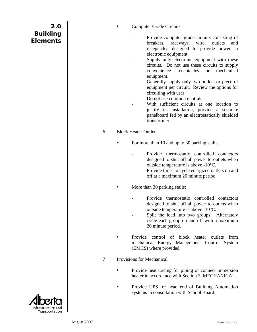**Computer Grade Circuits** 

- Provide computer grade circuits consisting of breakers, raceways, wire, outlets and receptacles designed to provide power to electronic equipment.
- Supply only electronic equipment with these circuits. Do not use these circuits to supply convenience receptacles or mechanical equipment.
- Generally supply only two outlets or piece of equipment per circuit. Review the options for circuiting with user.
- Do not use common neutrals.
- With sufficient circuits at one location to justify its installation, provide a separate panelboard fed by an electrostatically shielded transformer.
- .6 Block Heater Outlets
	- For more than 10 and up to 30 parking stalls:
		- Provide thermostatic controlled contactors designed to shut off all power to outlets when outside temperature is above -10°C.
		- Provide timer to cycle energized outlets on and off at a maximum 20 minute period.
		- More than 30 parking stalls:
			- Provide thermostatic controlled contactors designed to shut off all power to outlets when outside temperature is above -10°C.
			- Split the load into two groups. Alternately cycle each group on and off with a maximum 20 minute period.
	- Provide control of block heater outlets from mechanical Energy Management Control System (EMCS) where provided.
- .7 Provisions for Mechanical
	- Provide heat tracing for piping or connect immersion heater in accordance with Section 3, MECHANICAL.
	- Provide UPS for head end of Building Automation systems in consultation with School Board.

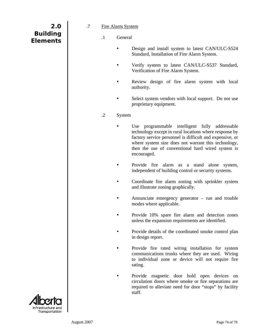| 2.0             |  |
|-----------------|--|
| <b>Building</b> |  |
| <b>Elements</b> |  |
|                 |  |

- .7 Fire Alarm System
	- .1 General
		- Design and install system to latest CAN/ULC-S524 Standard, Installation of Fire Alarm System.
		- Verify system to latest CAN/ULC-S537 Standard, Verification of Fire Alarm System.
		- Review design of fire alarm system with local authority.
		- Select system vendors with local support. Do not use proprietary equipment.
	- .2 System
		- Use programmable intelligent fully addressable technology except in rural locations where response by factory service personnel is difficult and expensive, or where system size does not warrant this technology, then the use of conventional hard wired system is encouraged.
		- Provide fire alarm as a stand alone system, independent of building control or security systems.
		- Coordinate fire alarm zoning with sprinkler system and illustrate zoning graphically.
		- Annunciate emergency generator  $-$  run and trouble modes where applicable.
		- Provide 10% spare fire alarm and detection zones unless the expansion requirements are identified.
		- Provide details of the coordinated smoke control plan in design report.
		- Provide fire rated wiring installation for system communications trunks where they are used. Wiring to individual zone or device will not require fire rating.
		- Provide magnetic door hold open devices on circulation doors where smoke or fire separations are required to alleviate need for door "stops" by facility staff.

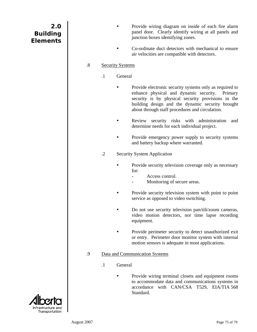| 2.0<br><b>Building</b><br><b>Elements</b> |                   |                         | Provide wiring diagram on inside of each fire alarm<br>panel door. Clearly identify wiring at all panels and<br>junction boxes identifying zones.<br>Co-ordinate duct detectors with mechanical to ensure<br>air velocities are compatible with detectors.                |
|-------------------------------------------|-------------------|-------------------------|---------------------------------------------------------------------------------------------------------------------------------------------------------------------------------------------------------------------------------------------------------------------------|
|                                           | $\boldsymbol{.8}$ | <b>Security Systems</b> |                                                                                                                                                                                                                                                                           |
|                                           |                   | $\cdot$ 1               | General                                                                                                                                                                                                                                                                   |
|                                           |                   |                         | Provide electronic security systems only as required to<br>enhance physical and dynamic security.<br>Primary<br>security is by physical security provisions in the<br>building design and the dynamic security brought<br>about through staff procedures and circulation. |
|                                           |                   |                         | Review security risks with administration<br>and<br>determine needs for each individual project.                                                                                                                                                                          |
|                                           |                   |                         | Provide emergency power supply to security systems<br>and battery backup where warranted.                                                                                                                                                                                 |
|                                           |                   | $\cdot$ .2              | <b>Security System Application</b>                                                                                                                                                                                                                                        |
|                                           |                   |                         | Provide security television coverage only as necessary<br>for:<br>Access control.<br>Monitoring of secure areas.                                                                                                                                                          |
|                                           |                   |                         | Provide security television system with point to point                                                                                                                                                                                                                    |
|                                           |                   |                         | service as opposed to video switching.                                                                                                                                                                                                                                    |
|                                           |                   |                         | Do not use security television pan/tilt/zoom cameras,<br>video motion detectors, nor time lapse recording<br>equipment.                                                                                                                                                   |
|                                           |                   |                         | Provide perimeter security to detect unauthorized exit<br>or entry. Perimeter door monitor system with internal<br>motion sensors is adequate in most applications.                                                                                                       |
|                                           | .9                |                         | Data and Communication Systems                                                                                                                                                                                                                                            |
|                                           |                   | $\cdot$                 | General                                                                                                                                                                                                                                                                   |
|                                           |                   |                         | Provide wiring terminal closets and equipment rooms<br>to accommodate data and communications systems in<br>accordance<br>with CAN/CSA T529, EIA/TIA 568<br>Standard.                                                                                                     |



I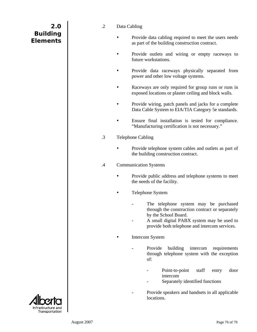#### .2 Data Cabling

- Provide data cabling required to meet the users needs as part of the building construction contract.
- Provide outlets and wiring or empty raceways to future workstations.
- Provide data raceways physically separated from power and other low voltage systems.
- Raceways are only required for group runs or runs in exposed locations or plaster ceiling and block walls.
- Provide wiring, patch panels and jacks for a complete Data Cable System to EIA/TIA Category 5e standards.
- Ensure final installation is tested for compliance. "Manufacturing certification is not necessary."
- .3 Telephone Cabling
	- Provide telephone system cables and outlets as part of the building construction contract.
- .4 Communication Systems
	- Provide public address and telephone systems to meet the needs of the facility.
	- Telephone System
		- The telephone system may be purchased through the construction contract or separately by the School Board.
		- A small digital PABX system may be used to provide both telephone and intercom services.
		- Intercom System
			- Provide building intercom requirements through telephone system with the exception of:
				- Point-to-point staff entry door intercom
				- Separately identified functions
			- Provide speakers and handsets in all applicable locations.

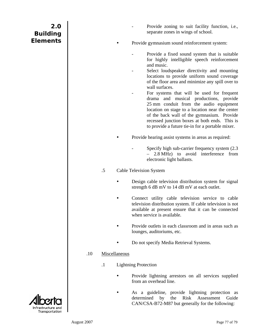| 2.0<br><b>Building</b><br><b>Elements</b> |     |                            | Provide zoning to suit facility function, i.e.,<br>separate zones in wings of school.<br>Provide gymnasium sound reinforcement system:<br>Provide a fixed sound system that is suitable<br>for highly intelligible speech reinforcement<br>and music.<br>Select loudspeaker directivity and mounting<br>locations to provide uniform sound coverage<br>of the floor area and minimize any spill over to<br>wall surfaces.<br>For systems that will be used for frequent<br>drama and musical productions, provide<br>25 mm conduit from the audio equipment<br>location on stage to a location near the center<br>of the back wall of the gymnasium. Provide<br>recessed junction boxes at both ends. This is<br>to provide a future tie-in for a portable mixer.<br>Provide hearing assist systems in areas as required:<br>Specify high sub-carrier frequency system (2.3)<br>2.8 MHz) to avoid interference from<br>electronic light ballasts. |
|-------------------------------------------|-----|----------------------------|---------------------------------------------------------------------------------------------------------------------------------------------------------------------------------------------------------------------------------------------------------------------------------------------------------------------------------------------------------------------------------------------------------------------------------------------------------------------------------------------------------------------------------------------------------------------------------------------------------------------------------------------------------------------------------------------------------------------------------------------------------------------------------------------------------------------------------------------------------------------------------------------------------------------------------------------------|
|                                           |     | $.5\,$                     | <b>Cable Television System</b><br>Design cable television distribution system for signal<br>strength 6 dB mV to 14 dB mV at each outlet.<br>Connect utility cable television service to cable<br>television distribution system. If cable television is not<br>available at present ensure that it can be connected<br>when service is available.<br>Provide outlets in each classroom and in areas such as<br>lounges, auditoriums, etc.<br>Do not specify Media Retrieval Systems.                                                                                                                                                                                                                                                                                                                                                                                                                                                              |
|                                           | .10 | Miscellaneous<br>$\cdot$ 1 | <b>Lightning Protection</b><br>Provide lightning arrestors on all services supplied<br>from an overhead line.<br>As a guideline, provide lightning protection as<br>the<br>Risk Assessment<br>determined<br>by<br>Guide<br>CAN/CSA-B72-M87 but generally for the following:                                                                                                                                                                                                                                                                                                                                                                                                                                                                                                                                                                                                                                                                       |

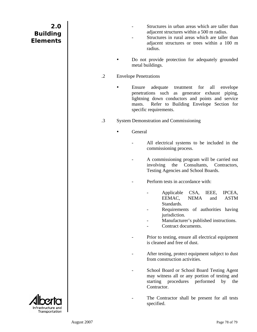- Structures in urban areas which are taller than adjacent structures within a 500 m radius.
- Structures in rural areas which are taller than adjacent structures or trees within a 100 m radius.
- Do not provide protection for adequately grounded metal buildings.
- .2 Envelope Penetrations
	- Ensure adequate treatment for all envelope penetrations such as generator exhaust piping, lightning down conductors and points and service masts. Refer to Building Envelope Section for specific requirements.
- .3 System Demonstration and Commissioning
	- General
		- All electrical systems to be included in the commissioning process.
		- A commissioning program will be carried out involving the Consultants, Contractors, Testing Agencies and School Boards.
		- Perform tests in accordance with:
			- Applicable CSA, IEEE, IPCEA, EEMAC, NEMA and ASTM Standards.
			- Requirements of authorities having jurisdiction.
			- Manufacturer's published instructions.
			- Contract documents.
		- Prior to testing, ensure all electrical equipment is cleaned and free of dust.
		- After testing, protect equipment subject to dust from construction activities.
		- School Board or School Board Testing Agent may witness all or any portion of testing and starting procedures performed by the Contractor.
		- The Contractor shall be present for all tests specified.